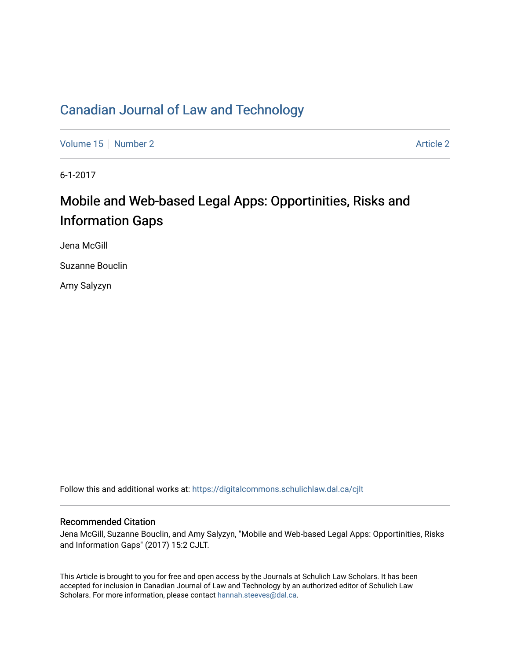# [Canadian Journal of Law and Technology](https://digitalcommons.schulichlaw.dal.ca/cjlt)

[Volume 15](https://digitalcommons.schulichlaw.dal.ca/cjlt/vol15) [Number 2](https://digitalcommons.schulichlaw.dal.ca/cjlt/vol15/iss2) Article 2

6-1-2017

# Mobile and Web-based Legal Apps: Opportinities, Risks and Information Gaps

Jena McGill

Suzanne Bouclin

Amy Salyzyn

Follow this and additional works at: [https://digitalcommons.schulichlaw.dal.ca/cjlt](https://digitalcommons.schulichlaw.dal.ca/cjlt?utm_source=digitalcommons.schulichlaw.dal.ca%2Fcjlt%2Fvol15%2Fiss2%2F2&utm_medium=PDF&utm_campaign=PDFCoverPages) 

#### Recommended Citation

Jena McGill, Suzanne Bouclin, and Amy Salyzyn, "Mobile and Web-based Legal Apps: Opportinities, Risks and Information Gaps" (2017) 15:2 CJLT.

This Article is brought to you for free and open access by the Journals at Schulich Law Scholars. It has been accepted for inclusion in Canadian Journal of Law and Technology by an authorized editor of Schulich Law Scholars. For more information, please contact [hannah.steeves@dal.ca](mailto:hannah.steeves@dal.ca).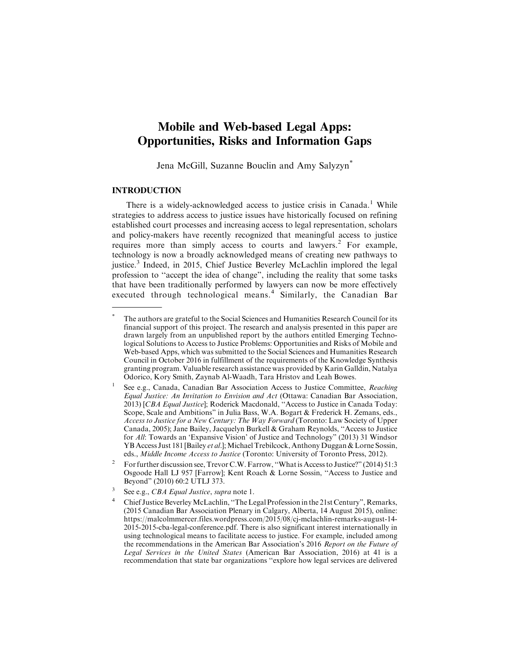## **Mobile and Web-based Legal Apps: Opportunities, Risks and Information Gaps**

Jena McGill, Suzanne Bouclin and Amy Salyzyn\*

#### **INTRODUCTION**

There is a widely-acknowledged access to justice crisis in Canada.<sup>1</sup> While strategies to address access to justice issues have historically focused on refining established court processes and increasing access to legal representation, scholars and policy-makers have recently recognized that meaningful access to justice requires more than simply access to courts and lawyers.<sup>2</sup> For example, technology is now a broadly acknowledged means of creating new pathways to justice.<sup>3</sup> Indeed, in 2015, Chief Justice Beverley McLachlin implored the legal profession to ''accept the idea of change", including the reality that some tasks that have been traditionally performed by lawyers can now be more effectively executed through technological means.<sup>4</sup> Similarly, the Canadian Bar

<sup>\*</sup> The authors are grateful to the Social Sciences and Humanities Research Council for its financial support of this project. The research and analysis presented in this paper are drawn largely from an unpublished report by the authors entitled Emerging Technological Solutions to Access to Justice Problems: Opportunities and Risks of Mobile and Web-based Apps, which was submitted to the Social Sciences and Humanities Research Council in October 2016 in fulfillment of the requirements of the Knowledge Synthesis granting program. Valuable research assistance was provided by Karin Galldin, Natalya Odorico, Kory Smith, Zaynab Al-Waadh, Tara Hristov and Leah Bowes.

See e.g., Canada, Canadian Bar Association Access to Justice Committee, Reaching Equal Justice: An Invitation to Envision and Act (Ottawa: Canadian Bar Association, 2013) [CBA Equal Justice]; Roderick Macdonald, ''Access to Justice in Canada Today: Scope, Scale and Ambitions" in Julia Bass, W.A. Bogart & Frederick H. Zemans, eds., Access to Justice for a New Century: The Way Forward (Toronto: Law Society of Upper Canada, 2005); Jane Bailey, Jacquelyn Burkell & Graham Reynolds, ''Access to Justice for All: Towards an 'Expansive Vision' of Justice and Technology" (2013) 31 Windsor YB Access Just 181 [Bailey *et al.*]; Michael Trebilcock, Anthony Duggan & Lorne Sossin, eds., Middle Income Access to Justice (Toronto: University of Toronto Press, 2012).

<sup>&</sup>lt;sup>2</sup> For further discussion see, Trevor C.W. Farrow, "What is Access to Justice?" (2014) 51:3 Osgoode Hall LJ 957 [Farrow]; Kent Roach & Lorne Sossin, ''Access to Justice and Beyond" (2010) 60:2 UTLJ 373.

 $3$  See e.g., *CBA Equal Justice*, *supra* note 1.

<sup>&</sup>lt;sup>4</sup> Chief Justice Beverley McLachlin, "The Legal Profession in the 21st Century", Remarks, (2015 Canadian Bar Association Plenary in Calgary, Alberta, 14 August 2015), online: https://malcolmmercer.files.wordpress.com/2015/08/cj-mclachlin-remarks-august-14- 2015-2015-cba-legal-conference.pdf. There is also significant interest internationally in using technological means to facilitate access to justice. For example, included among the recommendations in the American Bar Association's 2016 Report on the Future of Legal Services in the United States (American Bar Association, 2016) at 41 is a recommendation that state bar organizations ''explore how legal services are delivered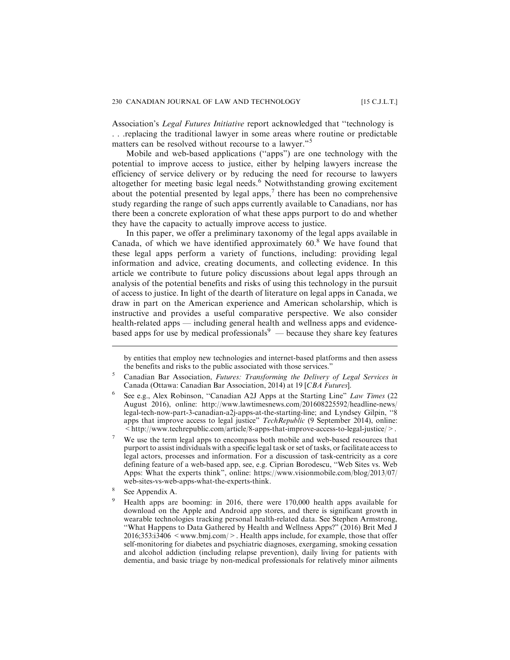Association's Legal Futures Initiative report acknowledged that ''technology is . . .replacing the traditional lawyer in some areas where routine or predictable matters can be resolved without recourse to a lawyer."<sup>5</sup>

Mobile and web-based applications (''apps") are one technology with the potential to improve access to justice, either by helping lawyers increase the efficiency of service delivery or by reducing the need for recourse to lawyers altogether for meeting basic legal needs.<sup>6</sup> Notwithstanding growing excitement about the potential presented by legal apps, $\frac{7}{1}$  there has been no comprehensive study regarding the range of such apps currently available to Canadians, nor has there been a concrete exploration of what these apps purport to do and whether they have the capacity to actually improve access to justice.

In this paper, we offer a preliminary taxonomy of the legal apps available in Canada, of which we have identified approximately  $60<sup>8</sup>$  We have found that these legal apps perform a variety of functions, including: providing legal information and advice, creating documents, and collecting evidence. In this article we contribute to future policy discussions about legal apps through an analysis of the potential benefits and risks of using this technology in the pursuit of access to justice. In light of the dearth of literature on legal apps in Canada, we draw in part on the American experience and American scholarship, which is instructive and provides a useful comparative perspective. We also consider health-related apps — including general health and wellness apps and evidencebased apps for use by medical professionals<sup>9</sup> — because they share key features

by entities that employ new technologies and internet-based platforms and then assess the benefits and risks to the public associated with those services."

 $5$  Canadian Bar Association, Futures: Transforming the Delivery of Legal Services in Canada (Ottawa: Canadian Bar Association, 2014) at 19 [CBA Futures].

<sup>6</sup> See e.g., Alex Robinson, ''Canadian A2J Apps at the Starting Line" Law Times (22 August 2016), online: http://www.lawtimesnews.com/201608225592/headline-news/ legal-tech-now-part-3-canadian-a2j-apps-at-the-starting-line; and Lyndsey Gilpin, ''8 apps that improve access to legal justice" TechRepublic (9 September 2014), online:  $\leq$ http://www.techrepublic.com/article/8-apps-that-improve-access-to-legal-justice/ $>$ .

<sup>&</sup>lt;sup>7</sup> We use the term legal apps to encompass both mobile and web-based resources that purport to assist individuals with a specific legal task or set of tasks, or facilitate access to legal actors, processes and information. For a discussion of task-centricity as a core defining feature of a web-based app, see, e.g. Ciprian Borodescu, ''Web Sites vs. Web Apps: What the experts think", online: https://www.visionmobile.com/blog/2013/07/ web-sites-vs-web-apps-what-the-experts-think.

<sup>8</sup> See Appendix A.

<sup>9</sup> Health apps are booming: in 2016, there were 170,000 health apps available for download on the Apple and Android app stores, and there is significant growth in wearable technologies tracking personal health-related data. See Stephen Armstrong, ''What Happens to Data Gathered by Health and Wellness Apps?" (2016) Brit Med J 2016;353:i3406 <www.bmj.com/>. Health apps include, for example, those that offer self-monitoring for diabetes and psychiatric diagnoses, exergaming, smoking cessation and alcohol addiction (including relapse prevention), daily living for patients with dementia, and basic triage by non-medical professionals for relatively minor ailments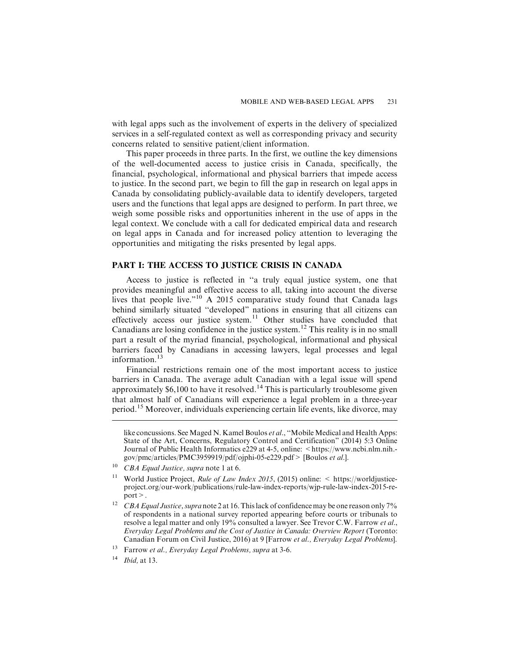with legal apps such as the involvement of experts in the delivery of specialized services in a self-regulated context as well as corresponding privacy and security concerns related to sensitive patient/client information.

This paper proceeds in three parts. In the first, we outline the key dimensions of the well-documented access to justice crisis in Canada, specifically, the financial, psychological, informational and physical barriers that impede access to justice. In the second part, we begin to fill the gap in research on legal apps in Canada by consolidating publicly-available data to identify developers, targeted users and the functions that legal apps are designed to perform. In part three, we weigh some possible risks and opportunities inherent in the use of apps in the legal context. We conclude with a call for dedicated empirical data and research on legal apps in Canada and for increased policy attention to leveraging the opportunities and mitigating the risks presented by legal apps.

#### **PART I: THE ACCESS TO JUSTICE CRISIS IN CANADA**

Access to justice is reflected in ''a truly equal justice system, one that provides meaningful and effective access to all, taking into account the diverse lives that people live."<sup>10</sup> A 2015 comparative study found that Canada lags behind similarly situated ''developed" nations in ensuring that all citizens can effectively access our justice system.<sup>11</sup> Other studies have concluded that Canadians are losing confidence in the justice system.<sup>12</sup> This reality is in no small part a result of the myriad financial, psychological, informational and physical barriers faced by Canadians in accessing lawyers, legal processes and legal information.<sup>13</sup>

Financial restrictions remain one of the most important access to justice barriers in Canada. The average adult Canadian with a legal issue will spend approximately \$6,100 to have it resolved.<sup>14</sup> This is particularly troublesome given that almost half of Canadians will experience a legal problem in a three-year period.<sup>15</sup> Moreover, individuals experiencing certain life events, like divorce, may

like concussions. See Maged N. Kamel Boulos *et al.*, "Mobile Medical and Health Apps: State of the Art, Concerns, Regulatory Control and Certification" (2014) 5:3 Online Journal of Public Health Informatics e229 at 4-5, online: <https://www.ncbi.nlm.nih.gov/pmc/articles/PMC3959919/pdf/ojphi-05-e229.pdf> [Boulos et al.].

 $10$  CBA Equal Justice, supra note 1 at 6.

<sup>&</sup>lt;sup>11</sup> World Justice Project, *Rule of Law Index 2015*, (2015) online:  $\leq$  https://worldjusticeproject.org/our-work/publications/rule-law-index-reports/wjp-rule-law-index-2015-report>.

<sup>&</sup>lt;sup>12</sup> CBA Equal Justice, supra note 2 at 16. This lack of confidence may be one reason only 7% of respondents in a national survey reported appearing before courts or tribunals to resolve a legal matter and only 19% consulted a lawyer. See Trevor C.W. Farrow et al., Everyday Legal Problems and the Cost of Justice in Canada: Overview Report (Toronto: Canadian Forum on Civil Justice, 2016) at 9 [Farrow et al., Everyday Legal Problems].

<sup>&</sup>lt;sup>13</sup> Farrow et al., Everyday Legal Problems, supra at 3-6.

 $14$  *Ibid*, at 13.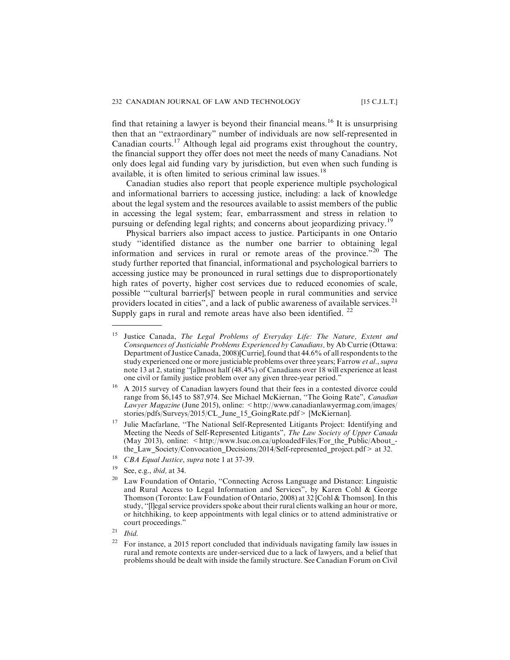find that retaining a lawyer is beyond their financial means.<sup>16</sup> It is unsurprising then that an ''extraordinary" number of individuals are now self-represented in Canadian courts.<sup>17</sup> Although legal aid programs exist throughout the country, the financial support they offer does not meet the needs of many Canadians. Not only does legal aid funding vary by jurisdiction, but even when such funding is available, it is often limited to serious criminal law issues.<sup>18</sup>

Canadian studies also report that people experience multiple psychological and informational barriers to accessing justice, including: a lack of knowledge about the legal system and the resources available to assist members of the public in accessing the legal system; fear, embarrassment and stress in relation to pursuing or defending legal rights; and concerns about jeopardizing privacy.<sup>19</sup>

Physical barriers also impact access to justice. Participants in one Ontario study ''identified distance as the number one barrier to obtaining legal information and services in rural or remote areas of the province."<sup>20</sup> The study further reported that financial, informational and psychological barriers to accessing justice may be pronounced in rural settings due to disproportionately high rates of poverty, higher cost services due to reduced economies of scale, possible '''cultural barrier[s]' between people in rural communities and service providers located in cities", and a lack of public awareness of available services.<sup>21</sup> Supply gaps in rural and remote areas have also been identified.  $22$ 

 $21$  Ibid.

<sup>&</sup>lt;sup>15</sup> Justice Canada, The Legal Problems of Everyday Life: The Nature, Extent and Consequences of Justiciable Problems Experienced by Canadians, by Ab Currie (Ottawa: Department of Justice Canada, 2008)[Currie], found that 44.6% of all respondents to the study experienced one or more justiciable problems over three years; Farrow et al., supra note 13 at 2, stating ''[a]lmost half (48.4%) of Canadians over 18 will experience at least one civil or family justice problem over any given three-year period."

<sup>&</sup>lt;sup>16</sup> A 2015 survey of Canadian lawyers found that their fees in a contested divorce could range from \$6,145 to \$87,974. See Michael McKiernan, "The Going Rate", Canadian Lawyer Magazine (June 2015), online: <http://www.canadianlawyermag.com/images/ stories/pdfs/Surveys/2015/CL\_June\_15\_GoingRate.pdf> [McKiernan].

<sup>&</sup>lt;sup>17</sup> Julie Macfarlane, "The National Self-Represented Litigants Project: Identifying and Meeting the Needs of Self-Represented Litigants", The Law Society of Upper Canada (May 2013), online:  $\langle \text{http://www.lsuc.on.ca/uploadedFiles/For the Public/About} - \rangle$ the\_Law\_Society/Convocation\_Decisions/2014/Self-represented\_project.pdf> at 32.

<sup>&</sup>lt;sup>18</sup> *CBA Equal Justice, supra* note 1 at 37-39.

 $19$  See, e.g., *ibid*, at 34.

<sup>&</sup>lt;sup>20</sup> Law Foundation of Ontario, "Connecting Across Language and Distance: Linguistic and Rural Access to Legal Information and Services", by Karen Cohl & George Thomson (Toronto: Law Foundation of Ontario, 2008) at 32 [Cohl & Thomson]. In this study, ''[l]egal service providers spoke about their rural clients walking an hour or more, or hitchhiking, to keep appointments with legal clinics or to attend administrative or court proceedings."

 $22$  For instance, a 2015 report concluded that individuals navigating family law issues in rural and remote contexts are under-serviced due to a lack of lawyers, and a belief that problems should be dealt with inside the family structure. See Canadian Forum on Civil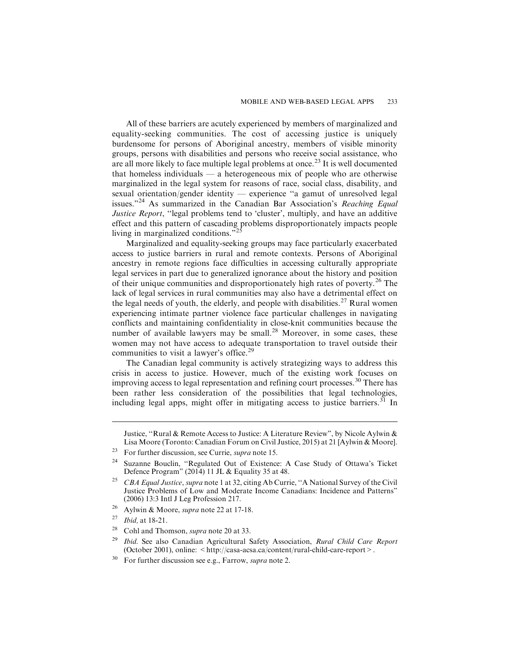All of these barriers are acutely experienced by members of marginalized and equality-seeking communities. The cost of accessing justice is uniquely burdensome for persons of Aboriginal ancestry, members of visible minority groups, persons with disabilities and persons who receive social assistance, who are all more likely to face multiple legal problems at once.<sup>23</sup> It is well documented that homeless individuals — a heterogeneous mix of people who are otherwise marginalized in the legal system for reasons of race, social class, disability, and sexual orientation/gender identity — experience ''a gamut of unresolved legal issues."<sup>24</sup> As summarized in the Canadian Bar Association's Reaching Equal Justice Report, "legal problems tend to 'cluster', multiply, and have an additive effect and this pattern of cascading problems disproportionately impacts people living in marginalized conditions."<sup>25</sup>

Marginalized and equality-seeking groups may face particularly exacerbated access to justice barriers in rural and remote contexts. Persons of Aboriginal ancestry in remote regions face difficulties in accessing culturally appropriate legal services in part due to generalized ignorance about the history and position of their unique communities and disproportionately high rates of poverty.<sup>26</sup> The lack of legal services in rural communities may also have a detrimental effect on the legal needs of youth, the elderly, and people with disabilities.<sup>27</sup> Rural women experiencing intimate partner violence face particular challenges in navigating conflicts and maintaining confidentiality in close-knit communities because the number of available lawyers may be small. $^{28}$  Moreover, in some cases, these women may not have access to adequate transportation to travel outside their communities to visit a lawyer's office.<sup>29</sup>

The Canadian legal community is actively strategizing ways to address this crisis in access to justice. However, much of the existing work focuses on improving access to legal representation and refining court processes.<sup>30</sup> There has been rather less consideration of the possibilities that legal technologies, including legal apps, might offer in mitigating access to justice barriers.<sup>31</sup> In

Justice, ''Rural & Remote Access to Justice: A Literature Review", by Nicole Aylwin & Lisa Moore (Toronto: Canadian Forum on Civil Justice, 2015) at 21 [Aylwin & Moore].

<sup>&</sup>lt;sup>23</sup> For further discussion, see Currie, *supra* note 15.

<sup>24</sup> Suzanne Bouclin, ''Regulated Out of Existence: A Case Study of Ottawa's Ticket Defence Program" (2014) 11 JL & Equality 35 at 48.

<sup>&</sup>lt;sup>25</sup> CBA Equal Justice, supra note 1 at 32, citing Ab Currie, "A National Survey of the Civil" Justice Problems of Low and Moderate Income Canadians: Incidence and Patterns" (2006) 13:3 Intl J Leg Profession 217.

<sup>&</sup>lt;sup>26</sup> Aylwin & Moore, *supra* note 22 at 17-18.

*Ibid*, at 18-21.

<sup>&</sup>lt;sup>28</sup> Cohl and Thomson, *supra* note 20 at 33.

<sup>&</sup>lt;sup>29</sup> Ibid. See also Canadian Agricultural Safety Association, Rural Child Care Report (October 2001), online: < http://casa-acsa.ca/content/rural-child-care-report >.

 $30$  For further discussion see e.g., Farrow, *supra* note 2.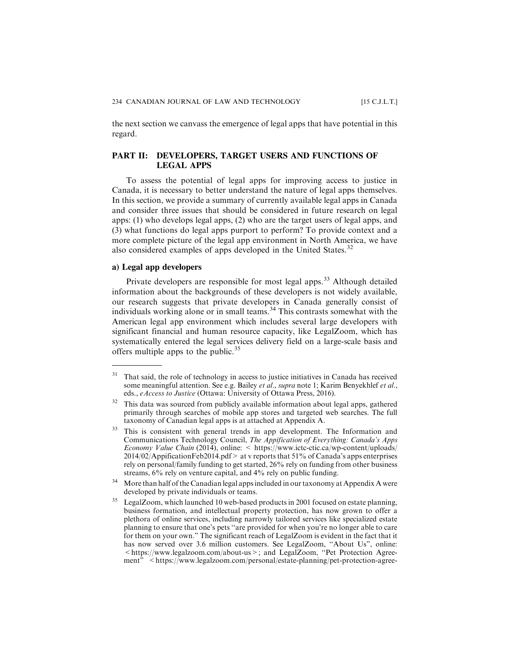the next section we canvass the emergence of legal apps that have potential in this regard.

#### **PART II: DEVELOPERS, TARGET USERS AND FUNCTIONS OF LEGAL APPS**

To assess the potential of legal apps for improving access to justice in Canada, it is necessary to better understand the nature of legal apps themselves. In this section, we provide a summary of currently available legal apps in Canada and consider three issues that should be considered in future research on legal apps: (1) who develops legal apps, (2) who are the target users of legal apps, and (3) what functions do legal apps purport to perform? To provide context and a more complete picture of the legal app environment in North America, we have also considered examples of apps developed in the United States.<sup>32</sup>

#### **a) Legal app developers**

Private developers are responsible for most legal apps.<sup>33</sup> Although detailed information about the backgrounds of these developers is not widely available, our research suggests that private developers in Canada generally consist of individuals working alone or in small teams.<sup>34</sup> This contrasts somewhat with the American legal app environment which includes several large developers with significant financial and human resource capacity, like LegalZoom, which has systematically entered the legal services delivery field on a large-scale basis and offers multiple apps to the public. $35$ 

 $31$  That said, the role of technology in access to justice initiatives in Canada has received some meaningful attention. See e.g. Bailey et al., supra note 1; Karim Benyekhlef et al., eds., eAccess to Justice (Ottawa: University of Ottawa Press, 2016).

<sup>&</sup>lt;sup>32</sup> This data was sourced from publicly available information about legal apps, gathered primarily through searches of mobile app stores and targeted web searches. The full taxonomy of Canadian legal apps is at attached at Appendix A.

<sup>&</sup>lt;sup>33</sup> This is consistent with general trends in app development. The Information and Communications Technology Council, The Appification of Everything: Canada's Apps Economy Value Chain (2014), online: < https://www.ictc-ctic.ca/wp-content/uploads/ 2014/02/AppificationFeb2014.pdf> at v reports that 51% of Canada's apps enterprises rely on personal/family funding to get started, 26% rely on funding from other business streams, 6% rely on venture capital, and 4% rely on public funding.

 $34$  More than half of the Canadian legal apps included in our taxonomy at Appendix A were developed by private individuals or teams.

LegalZoom, which launched 10 web-based products in 2001 focused on estate planning, business formation, and intellectual property protection, has now grown to offer a plethora of online services, including narrowly tailored services like specialized estate planning to ensure that one's pets ''are provided for when you're no longer able to care for them on your own." The significant reach of LegalZoom is evident in the fact that it has now served over 3.6 million customers. See LegalZoom, ''About Us", online:  $\leq$ https://www.legalzoom.com/about-us  $\geq$ ; and LegalZoom, "Pet Protection Agreement" <https://www.legalzoom.com/personal/estate-planning/pet-protection-agree-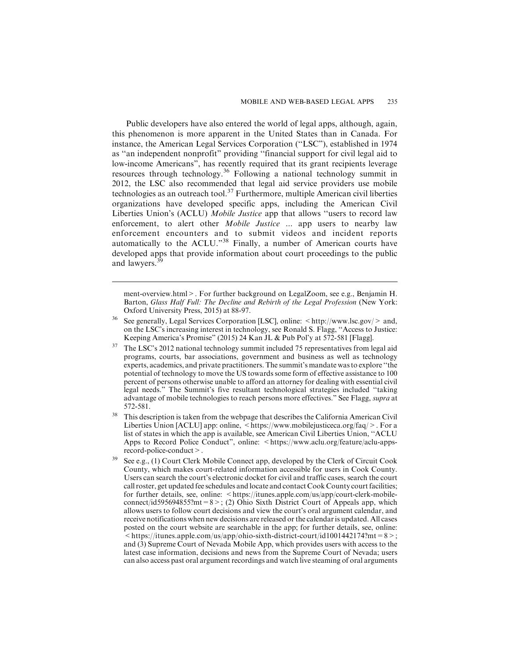Public developers have also entered the world of legal apps, although, again, this phenomenon is more apparent in the United States than in Canada. For instance, the American Legal Services Corporation (''LSC"), established in 1974 as ''an independent nonprofit" providing ''financial support for civil legal aid to low-income Americans", has recently required that its grant recipients leverage resources through technology.<sup>36</sup> Following a national technology summit in 2012, the LSC also recommended that legal aid service providers use mobile technologies as an outreach tool.<sup>37</sup> Furthermore, multiple American civil liberties organizations have developed specific apps, including the American Civil Liberties Union's (ACLU) *Mobile Justice* app that allows "users to record law enforcement, to alert other *Mobile Justice* ... app users to nearby law enforcement encounters and to submit videos and incident reports automatically to the ACLU."<sup>38</sup> Finally, a number of American courts have developed apps that provide information about court proceedings to the public and lawyers.<sup>3</sup>

ment-overview.html>. For further background on LegalZoom, see e.g., Benjamin H. Barton, Glass Half Full: The Decline and Rebirth of the Legal Profession (New York: Oxford University Press, 2015) at 88-97.

- <sup>36</sup> See generally, Legal Services Corporation [LSC], online:  $\lt$ http://www.lsc.gov/ $>$  and, on the LSC's increasing interest in technology, see Ronald S. Flagg, ''Access to Justice: Keeping America's Promise" (2015) 24 Kan JL & Pub Pol'y at 572-581 [Flagg].
- <sup>37</sup> The LSC's 2012 national technology summit included 75 representatives from legal aid programs, courts, bar associations, government and business as well as technology experts, academics, and private practitioners. The summit's mandate was to explore ''the potential of technology to move the US towards some form of effective assistance to 100 percent of persons otherwise unable to afford an attorney for dealing with essential civil legal needs." The Summit's five resultant technological strategies included ''taking advantage of mobile technologies to reach persons more effectives." See Flagg, supra at 572-581.
- <sup>38</sup> This description is taken from the webpage that describes the California American Civil Liberties Union [ACLU] app: online, <https://www.mobilejusticeca.org/faq/>. For a list of states in which the app is available, see American Civil Liberties Union, ''ACLU Apps to Record Police Conduct", online:  $\lt$ https://www.aclu.org/feature/aclu-appsrecord-police-conduct>.
- <sup>39</sup> See e.g., (1) Court Clerk Mobile Connect app, developed by the Clerk of Circuit Cook County, which makes court-related information accessible for users in Cook County. Users can search the court's electronic docket for civil and traffic cases, search the court call roster, get updated fee schedules and locate and contact Cook County court facilities; for further details, see, online: <https://itunes.apple.com/us/app/court-clerk-mobileconnect/id595694855?mt=8>; (2) Ohio Sixth District Court of Appeals app, which allows users to follow court decisions and view the court's oral argument calendar, and receive notifications when new decisions are released or the calendar is updated. All cases posted on the court website are searchable in the app; for further details, see, online:  $\le$ https://itunes.apple.com/us/app/ohio-sixth-district-court/id1001442174?mt=8>; and (3) Supreme Court of Nevada Mobile App, which provides users with access to the latest case information, decisions and news from the Supreme Court of Nevada; users can also access past oral argument recordings and watch live steaming of oral arguments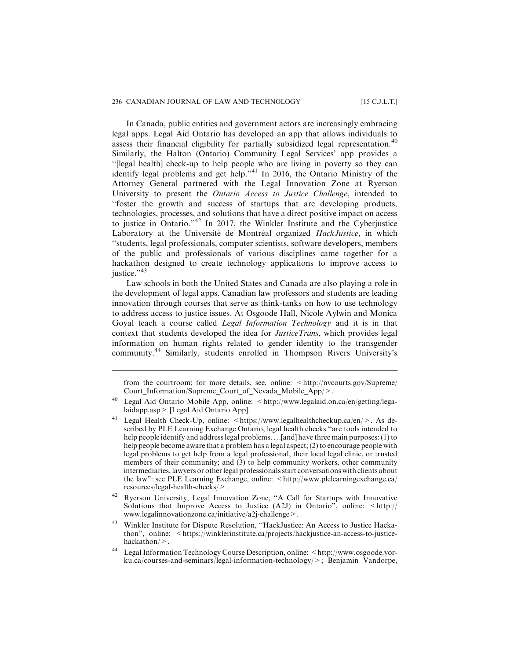#### 236 CANADIAN JOURNAL OF LAW AND TECHNOLOGY [15 C.J.L.T.]

In Canada, public entities and government actors are increasingly embracing legal apps. Legal Aid Ontario has developed an app that allows individuals to assess their financial eligibility for partially subsidized legal representation.<sup>40</sup> Similarly, the Halton (Ontario) Community Legal Services' app provides a ''[legal health] check-up to help people who are living in poverty so they can identify legal problems and get help."<sup>41</sup> In 2016, the Ontario Ministry of the Attorney General partnered with the Legal Innovation Zone at Ryerson University to present the *Ontario Access to Justice Challenge*, intended to ''foster the growth and success of startups that are developing products, technologies, processes, and solutions that have a direct positive impact on access to justice in Ontario."<sup>42</sup> In 2017, the Winkler Institute and the Cyberjustice Laboratory at the Université de Montréal organized HackJustice, in which ''students, legal professionals, computer scientists, software developers, members of the public and professionals of various disciplines came together for a hackathon designed to create technology applications to improve access to  $i$ ustice." $43$ 

Law schools in both the United States and Canada are also playing a role in the development of legal apps. Canadian law professors and students are leading innovation through courses that serve as think-tanks on how to use technology to address access to justice issues. At Osgoode Hall, Nicole Aylwin and Monica Goyal teach a course called Legal Information Technology and it is in that context that students developed the idea for *JusticeTrans*, which provides legal information on human rights related to gender identity to the transgender community.<sup>44</sup> Similarly, students enrolled in Thompson Rivers University's

from the courtroom; for more details, see, online: <http://nvcourts.gov/Supreme/ Court Information/Supreme Court of Nevada Mobile App/>.

Legal Aid Ontario Mobile App, online: <http://www.legalaid.on.ca/en/getting/legalaidapp.asp> [Legal Aid Ontario App].

<sup>&</sup>lt;sup>41</sup> Legal Health Check-Up, online:  $\langle \text{https://www.legalhealthcheckup.ca/en/}>. As$  described by PLE Learning Exchange Ontario, legal health checks ''are tools intended to help people identify and address legal problems. . ...[and] have three main purposes: (1) to help people become aware that a problem has a legal aspect; (2) to encourage people with legal problems to get help from a legal professional, their local legal clinic, or trusted members of their community; and (3) to help community workers, other community intermediaries, lawyers or other legal professionals start conversations with clients about the law": see PLE Learning Exchange, online:  $\langle \text{http://www.plelearningexchange.ca/}$ resources/legal-health-checks/>.

<sup>42</sup> Ryerson University, Legal Innovation Zone, ''A Call for Startups with Innovative Solutions that Improve Access to Justice (A2J) in Ontario", online: <http:// www.legalinnovationzone.ca/initiative/a2j-challenge>.

<sup>&</sup>lt;sup>43</sup> Winkler Institute for Dispute Resolution, "HackJustice: An Access to Justice Hackathon", online: <https://winklerinstitute.ca/projects/hackjustice-an-access-to-justicehackathon/>.

<sup>44</sup> Legal Information Technology Course Description, online: <http://www.osgoode.yorku.ca/courses-and-seminars/legal-information-technology/>; Benjamin Vandorpe,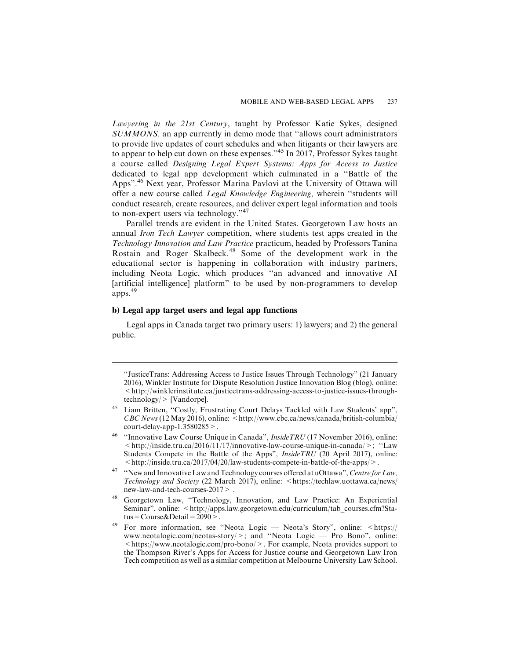Lawyering in the 21st Century, taught by Professor Katie Sykes, designed SUMMONS, an app currently in demo mode that ''allows court administrators to provide live updates of court schedules and when litigants or their lawyers are to appear to help cut down on these expenses."<sup>45</sup> In 2017, Professor Sykes taught a course called Designing Legal Expert Systems: Apps for Access to Justice dedicated to legal app development which culminated in a ''Battle of the Apps".<sup>46</sup> Next year, Professor Marina Pavlovi at the University of Ottawa will offer a new course called Legal Knowledge Engineering, wherein ''students will conduct research, create resources, and deliver expert legal information and tools to non-expert users via technology."<sup>47</sup>

Parallel trends are evident in the United States. Georgetown Law hosts an annual Iron Tech Lawyer competition, where students test apps created in the Technology Innovation and Law Practice practicum, headed by Professors Tanina Rostain and Roger Skalbeck.<sup>48</sup> Some of the development work in the educational sector is happening in collaboration with industry partners, including Neota Logic, which produces ''an advanced and innovative AI [artificial intelligence] platform" to be used by non-programmers to develop apps.<sup>49</sup>

#### **b) Legal app target users and legal app functions**

Legal apps in Canada target two primary users: 1) lawyers; and 2) the general public.

<sup>&#</sup>x27;'JusticeTrans: Addressing Access to Justice Issues Through Technology" (21 January 2016), Winkler Institute for Dispute Resolution Justice Innovation Blog (blog), online:  $\leq$ http://winklerinstitute.ca/justicetrans-addressing-access-to-justice-issues-throughtechnology/> [Vandorpe].

<sup>&</sup>lt;sup>45</sup> Liam Britten, "Costly, Frustrating Court Delays Tackled with Law Students' app",  $CBC News (12 May 2016)$ , online: <http://www.cbc.ca/news/canada/british-columbia/ court-delay-app-1.3580285>.

<sup>&</sup>lt;sup>46</sup> "Innovative Law Course Unique in Canada", *InsideTRU* (17 November 2016), online:  $\langle$ http://inside.tru.ca/2016/11/17/innovative-law-course-unique-in-canada/>; "Law Students Compete in the Battle of the Apps", InsideTRU (20 April 2017), online: <http://inside.tru.ca/2017/04/20/law-students-compete-in-battle-of-the-apps/>.

<sup>&</sup>lt;sup>47</sup> "New and Innovative Law and Technology courses offered at uOttawa", Centre for Law, Technology and Society (22 March 2017), online: <https://techlaw.uottawa.ca/news/ new-law-and-tech-courses-2017> .

<sup>48</sup> Georgetown Law, ''Technology, Innovation, and Law Practice: An Experiential Seminar", online: < http://apps.law.georgetown.edu/curriculum/tab\_courses.cfm?Status=Course&Detail=2090>.

<sup>49</sup> For more information, see ''Neota Logic — Neota's Story", online: <https:// www.neotalogic.com/neotas-story/>; and ''Neota Logic — Pro Bono", online: <https://www.neotalogic.com/pro-bono/>. For example, Neota provides support to the Thompson River's Apps for Access for Justice course and Georgetown Law Iron Tech competition as well as a similar competition at Melbourne University Law School.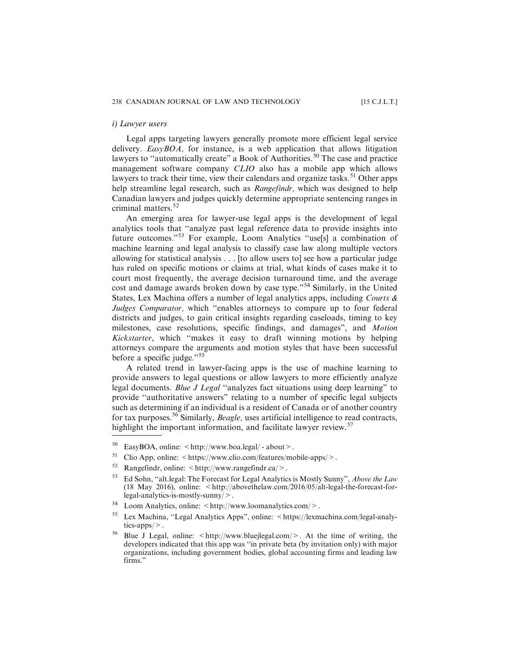#### *i) Lawyer users*

Legal apps targeting lawyers generally promote more efficient legal service delivery.  $EasyBOA$ , for instance, is a web application that allows litigation lawyers to "automatically create" a Book of Authorities.<sup>50</sup> The case and practice management software company CLIO also has a mobile app which allows lawyers to track their time, view their calendars and organize tasks.<sup>51</sup> Other apps help streamline legal research, such as *Rangefindr*, which was designed to help Canadian lawyers and judges quickly determine appropriate sentencing ranges in criminal matters.<sup>52</sup>

An emerging area for lawyer-use legal apps is the development of legal analytics tools that ''analyze past legal reference data to provide insights into future outcomes."<sup>53</sup> For example, Loom Analytics "use[s] a combination of machine learning and legal analysis to classify case law along multiple vectors allowing for statistical analysis . . . [to allow users to] see how a particular judge has ruled on specific motions or claims at trial, what kinds of cases make it to court most frequently, the average decision turnaround time, and the average cost and damage awards broken down by case type."<sup>54</sup> Similarly, in the United States, Lex Machina offers a number of legal analytics apps, including Courts  $\&$ Judges Comparator, which "enables attorneys to compare up to four federal districts and judges, to gain critical insights regarding caseloads, timing to key milestones, case resolutions, specific findings, and damages", and Motion Kickstarter, which ''makes it easy to draft winning motions by helping attorneys compare the arguments and motion styles that have been successful before a specific judge."<sup>55</sup>

A related trend in lawyer-facing apps is the use of machine learning to provide answers to legal questions or allow lawyers to more efficiently analyze legal documents. Blue J Legal "analyzes fact situations using deep learning" to provide ''authoritative answers" relating to a number of specific legal subjects such as determining if an individual is a resident of Canada or of another country for tax purposes.<sup>56</sup> Similarly, *Beagle*, uses artificial intelligence to read contracts, highlight the important information, and facilitate lawyer review.<sup>57</sup>

- <sup>51</sup> Clio App, online:  $\langle$  https://www.clio.com/features/mobile-apps/ $>$ .
- 52 Rangefindr, online:  $\langle \text{http://www.rangefindr.ca/>}.$
- <sup>53</sup> Ed Sohn, "alt.legal: The Forecast for Legal Analytics is Mostly Sunny", *Above the Law* (18 May 2016), online: <http://abovethelaw.com/2016/05/alt-legal-the-forecast-forlegal-analytics-is-mostly-sunny/>.
- $54$  Loom Analytics, online:  $\langle \text{http://www.loomanalytics.com/}>.$
- <sup>55</sup> Lex Machina, ''Legal Analytics Apps", online: <https://lexmachina.com/legal-analytics-apps/>.

 $50$  EasyBOA, online:  $\lt$ http://www.boa.legal/ - about >.

<sup>&</sup>lt;sup>56</sup> Blue J Legal, online:  $\langle \text{http://www.bluejlegal.com/}\rangle$ . At the time of writing, the developers indicated that this app was ''in private beta (by invitation only) with major organizations, including government bodies, global accounting firms and leading law firms."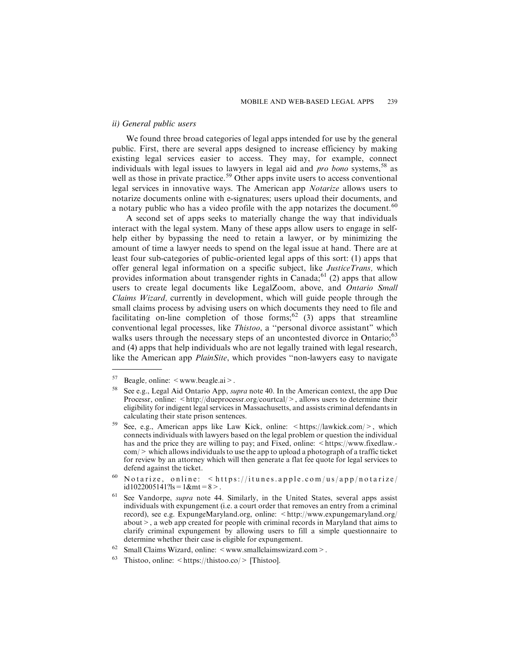#### *ii) General public users*

We found three broad categories of legal apps intended for use by the general public. First, there are several apps designed to increase efficiency by making existing legal services easier to access. They may, for example, connect individuals with legal issues to lawyers in legal aid and *pro bono* systems,  $58$  as well as those in private practice.<sup>59</sup> Other apps invite users to access conventional legal services in innovative ways. The American app Notarize allows users to notarize documents online with e-signatures; users upload their documents, and a notary public who has a video profile with the app notarizes the document.<sup>60</sup>

A second set of apps seeks to materially change the way that individuals interact with the legal system. Many of these apps allow users to engage in selfhelp either by bypassing the need to retain a lawyer, or by minimizing the amount of time a lawyer needs to spend on the legal issue at hand. There are at least four sub-categories of public-oriented legal apps of this sort: (1) apps that offer general legal information on a specific subject, like *JusticeTrans*, which provides information about transgender rights in Canada;<sup>61</sup> (2) apps that allow users to create legal documents like LegalZoom, above, and Ontario Small Claims Wizard, currently in development, which will guide people through the small claims process by advising users on which documents they need to file and facilitating on-line completion of those forms;<sup>62</sup> (3) apps that streamline conventional legal processes, like Thistoo, a ''personal divorce assistant" which walks users through the necessary steps of an uncontested divorce in Ontario;<sup>63</sup> and (4) apps that help individuals who are not legally trained with legal research, like the American app PlainSite, which provides "non-lawyers easy to navigate

<sup>&</sup>lt;sup>57</sup> Beagle, online:  $\leq$  www.beagle.ai  $\geq$ .

See e.g., Legal Aid Ontario App, *supra* note 40. In the American context, the app Due Processr, online: <http://dueprocessr.org/courtcal/>, allows users to determine their eligibility for indigent legal services in Massachusetts, and assists criminal defendants in calculating their state prison sentences.

<sup>&</sup>lt;sup>59</sup> See, e.g., American apps like Law Kick, online:  $\lt$ https://lawkick.com/>, which connects individuals with lawyers based on the legal problem or question the individual has and the price they are willing to pay; and Fixed, online:  $\langle$ https://www.fixedlaw.- $\text{com}/\text{>}$  which allows individuals to use the app to upload a photograph of a traffic ticket for review by an attorney which will then generate a flat fee quote for legal services to defend against the ticket.

 $60$  Notarize, online:  $\langle$ https://itunes.apple.com/us/app/notarize/ id1022005141?ls =  $1$ &mt =  $8$  >.

See Vandorpe, supra note 44. Similarly, in the United States, several apps assist individuals with expungement (i.e. a court order that removes an entry from a criminal record), see e.g. ExpungeMaryland.org, online:  $\langle \text{http://www-expungemaryland.org/}$ about>, a web app created for people with criminal records in Maryland that aims to clarify criminal expungement by allowing users to fill a simple questionnaire to determine whether their case is eligible for expungement.

Small Claims Wizard, online: <www.smallclaimswizard.com>.

<sup>&</sup>lt;sup>63</sup> Thistoo, online:  $\langle \text{https://thistoo.co/} \rangle$  [Thistoo].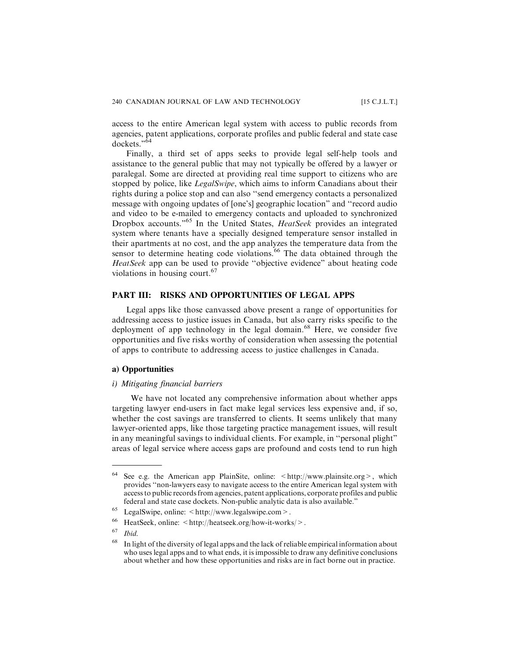access to the entire American legal system with access to public records from agencies, patent applications, corporate profiles and public federal and state case dockets."<sup>64</sup>

Finally, a third set of apps seeks to provide legal self-help tools and assistance to the general public that may not typically be offered by a lawyer or paralegal. Some are directed at providing real time support to citizens who are stopped by police, like LegalSwipe, which aims to inform Canadians about their rights during a police stop and can also ''send emergency contacts a personalized message with ongoing updates of [one's] geographic location" and ''record audio and video to be e-mailed to emergency contacts and uploaded to synchronized Dropbox accounts."<sup>65</sup> In the United States, *HeatSeek* provides an integrated system where tenants have a specially designed temperature sensor installed in their apartments at no cost, and the app analyzes the temperature data from the sensor to determine heating code violations.<sup>66</sup> The data obtained through the HeatSeek app can be used to provide ''objective evidence" about heating code violations in housing court.<sup>67</sup>

#### **PART III: RISKS AND OPPORTUNITIES OF LEGAL APPS**

Legal apps like those canvassed above present a range of opportunities for addressing access to justice issues in Canada, but also carry risks specific to the deployment of app technology in the legal domain.<sup>68</sup> Here, we consider five opportunities and five risks worthy of consideration when assessing the potential of apps to contribute to addressing access to justice challenges in Canada.

#### **a) Opportunities**

#### *i) Mitigating financial barriers*

We have not located any comprehensive information about whether apps targeting lawyer end-users in fact make legal services less expensive and, if so, whether the cost savings are transferred to clients. It seems unlikely that many lawyer-oriented apps, like those targeting practice management issues, will result in any meaningful savings to individual clients. For example, in ''personal plight" areas of legal service where access gaps are profound and costs tend to run high

Ibid.

<sup>&</sup>lt;sup>64</sup> See e.g. the American app PlainSite, online:  $\lt$ http://www.plainsite.org >, which provides ''non-lawyers easy to navigate access to the entire American legal system with access to public records from agencies, patent applications, corporate profiles and public federal and state case dockets. Non-public analytic data is also available."

LegalSwipe, online: <http://www.legalswipe.com>.

<sup>&</sup>lt;sup>66</sup> HeatSeek, online:  $\lt{http://heatseek.org/how-it-works/>}$ .<br>67  $H:1$ 

<sup>&</sup>lt;sup>68</sup> In light of the diversity of legal apps and the lack of reliable empirical information about who uses legal apps and to what ends, it is impossible to draw any definitive conclusions about whether and how these opportunities and risks are in fact borne out in practice.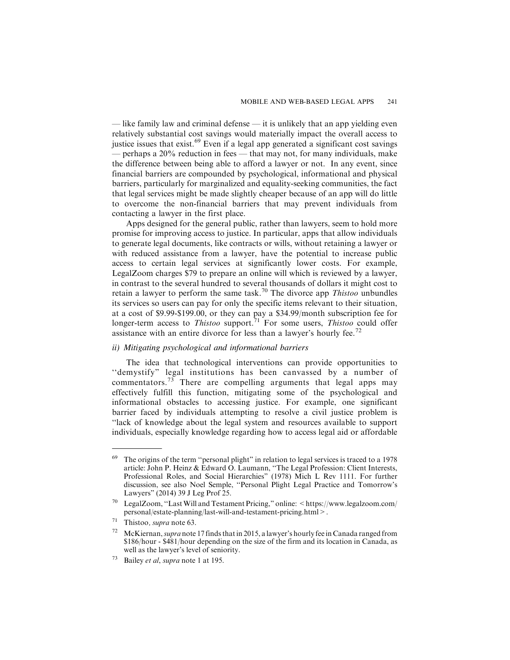— like family law and criminal defense — it is unlikely that an app yielding even relatively substantial cost savings would materially impact the overall access to justice issues that exist.<sup>69</sup> Even if a legal app generated a significant cost savings — perhaps a 20% reduction in fees — that may not, for many individuals, make the difference between being able to afford a lawyer or not. In any event, since financial barriers are compounded by psychological, informational and physical barriers, particularly for marginalized and equality-seeking communities, the fact that legal services might be made slightly cheaper because of an app will do little to overcome the non-financial barriers that may prevent individuals from contacting a lawyer in the first place.

Apps designed for the general public, rather than lawyers, seem to hold more promise for improving access to justice. In particular, apps that allow individuals to generate legal documents, like contracts or wills, without retaining a lawyer or with reduced assistance from a lawyer, have the potential to increase public access to certain legal services at significantly lower costs. For example, LegalZoom charges \$79 to prepare an online will which is reviewed by a lawyer, in contrast to the several hundred to several thousands of dollars it might cost to retain a lawyer to perform the same task.<sup>70</sup> The divorce app *Thistoo* unbundles its services so users can pay for only the specific items relevant to their situation, at a cost of \$9.99-\$199.00, or they can pay a \$34.99/month subscription fee for longer-term access to *Thistoo* support.<sup>71</sup> For some users, *Thistoo* could offer assistance with an entire divorce for less than a lawyer's hourly fee.<sup>72</sup>

#### *ii) Mitigating psychological and informational barriers*

The idea that technological interventions can provide opportunities to ''demystify" legal institutions has been canvassed by a number of commentators.<sup>73</sup> There are compelling arguments that legal apps may effectively fulfill this function, mitigating some of the psychological and informational obstacles to accessing justice. For example, one significant barrier faced by individuals attempting to resolve a civil justice problem is ''lack of knowledge about the legal system and resources available to support individuals, especially knowledge regarding how to access legal aid or affordable

 $69$  The origins of the term "personal plight" in relation to legal services is traced to a 1978 article: John P. Heinz & Edward O. Laumann, ''The Legal Profession: Client Interests, Professional Roles, and Social Hierarchies" (1978) Mich L Rev 1111. For further discussion, see also Noel Semple, ''Personal Plight Legal Practice and Tomorrow's Lawyers" (2014) 39 J Leg Prof 25.

LegalZoom, "Last Will and Testament Pricing," online: < https://www.legalzoom.com/ personal/estate-planning/last-will-and-testament-pricing.html>.

 $71$  Thistoo, *supra* note 63.

McKiernan, *supra* note 17 finds that in 2015, a lawyer's hourly fee in Canada ranged from \$186/hour - \$481/hour depending on the size of the firm and its location in Canada, as well as the lawyer's level of seniority.

Bailey et al, supra note 1 at 195.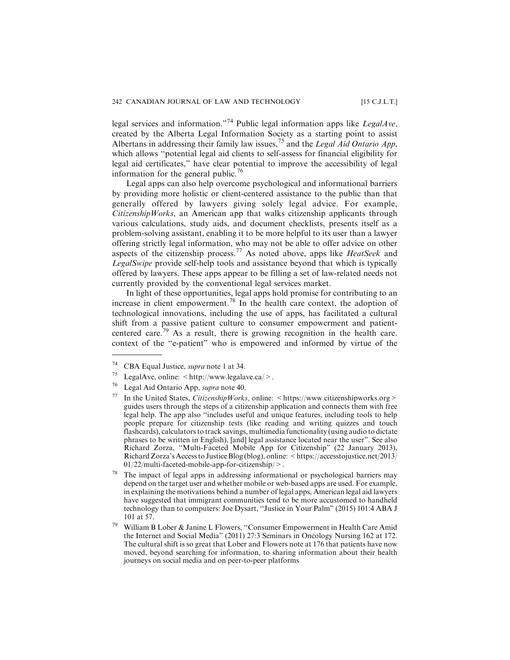legal services and information."<sup>74</sup> Public legal information apps like LegalAve, created by the Alberta Legal Information Society as a starting point to assist Albertans in addressing their family law issues,<sup>75</sup> and the *Legal Aid Ontario App*, which allows ''potential legal aid clients to self-assess for financial eligibility for legal aid certificates," have clear potential to improve the accessibility of legal information for the general public.<sup>76</sup>

Legal apps can also help overcome psychological and informational barriers by providing more holistic or client-centered assistance to the public than that generally offered by lawyers giving solely legal advice. For example, CitizenshipWorks, an American app that walks citizenship applicants through various calculations, study aids, and document checklists, presents itself as a problem-solving assistant, enabling it to be more helpful to its user than a lawyer offering strictly legal information, who may not be able to offer advice on other aspects of the citizenship process.<sup>77</sup> As noted above, apps like *HeatSeek* and LegalSwipe provide self-help tools and assistance beyond that which is typically offered by lawyers. These apps appear to be filling a set of law-related needs not currently provided by the conventional legal services market.

In light of these opportunities, legal apps hold promise for contributing to an increase in client empowerment.<sup>78</sup> In the health care context, the adoption of technological innovations, including the use of apps, has facilitated a cultural shift from a passive patient culture to consumer empowerment and patientcentered care.<sup>79</sup> As a result, there is growing recognition in the health care. context of the ''e-patient" who is empowered and informed by virtue of the

- <sup>75</sup> LegalAve, online:  $\langle \text{http://www.legalave.ca/>} \rangle$ .
- <sup>76</sup> Legal Aid Ontario App, supra note 40.
- <sup>77</sup> In the United States, *CitizenshipWorks*, online:  $\langle$ https://www.citizenshipworks.org  $>$ guides users through the steps of a citizenship application and connects them with free legal help. The app also ''includes useful and unique features, including tools to help people prepare for citizenship tests (like reading and writing quizzes and touch flashcards), calculators to track savings, multimedia functionality (using audio to dictate phrases to be written in English), [and] legal assistance located near the user". See also Richard Zorza, ''Multi-Faceted Mobile App for Citizenship" (22 January 2013), Richard Zorza's Access to Justice Blog (blog), online: < https://accesstojustice.net/2013/ 01/22/multi-faceted-mobile-app-for-citizenship/>.
- The impact of legal apps in addressing informational or psychological barriers may depend on the target user and whether mobile or web-based apps are used. For example, in explaining the motivations behind a number of legal apps, American legal aid lawyers have suggested that immigrant communities tend to be more accustomed to handheld technology than to computers: Joe Dysart, ''Justice in Your Palm" (2015) 101:4 ABA J 101 at 57.
- <sup>79</sup> William B Lober & Janine L Flowers, ''Consumer Empowerment in Health Care Amid the Internet and Social Media" (2011) 27:3 Seminars in Oncology Nursing 162 at 172. The cultural shift is so great that Lober and Flowers note at 176 that patients have now moved, beyond searching for information, to sharing information about their health journeys on social media and on peer-to-peer platforms

<sup>&</sup>lt;sup>74</sup> CBA Equal Justice, *supra* note 1 at 34.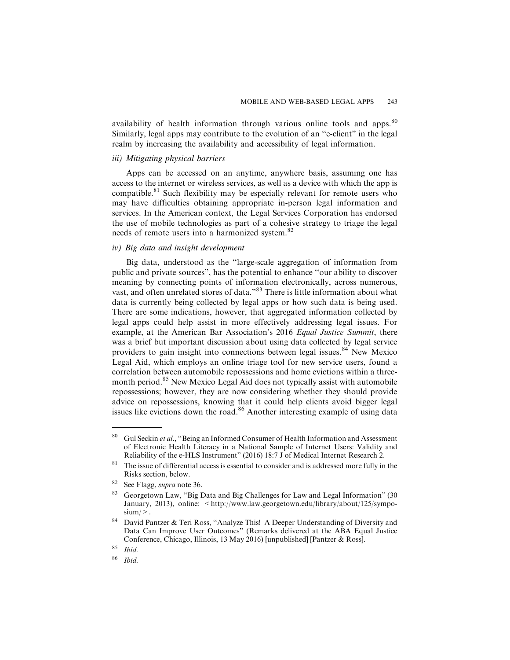availability of health information through various online tools and apps.<sup>80</sup> Similarly, legal apps may contribute to the evolution of an ''e-client" in the legal realm by increasing the availability and accessibility of legal information.

#### *iii) Mitigating physical barriers*

Apps can be accessed on an anytime, anywhere basis, assuming one has access to the internet or wireless services, as well as a device with which the app is compatible.<sup>81</sup> Such flexibility may be especially relevant for remote users who may have difficulties obtaining appropriate in-person legal information and services. In the American context, the Legal Services Corporation has endorsed the use of mobile technologies as part of a cohesive strategy to triage the legal needs of remote users into a harmonized system.<sup>82</sup>

#### *iv) Big data and insight development*

Big data, understood as the ''large-scale aggregation of information from public and private sources", has the potential to enhance ''our ability to discover meaning by connecting points of information electronically, across numerous, vast, and often unrelated stores of data."<sup>83</sup> There is little information about what data is currently being collected by legal apps or how such data is being used. There are some indications, however, that aggregated information collected by legal apps could help assist in more effectively addressing legal issues. For example, at the American Bar Association's 2016 Equal Justice Summit, there was a brief but important discussion about using data collected by legal service providers to gain insight into connections between legal issues.<sup>84</sup> New Mexico Legal Aid, which employs an online triage tool for new service users, found a correlation between automobile repossessions and home evictions within a threemonth period.<sup>85</sup> New Mexico Legal Aid does not typically assist with automobile repossessions; however, they are now considering whether they should provide advice on repossessions, knowing that it could help clients avoid bigger legal issues like evictions down the road.<sup>86</sup> Another interesting example of using data

<sup>&</sup>lt;sup>80</sup> Gul Seckin *et al.*, "Being an Informed Consumer of Health Information and Assessment of Electronic Health Literacy in a National Sample of Internet Users: Validity and Reliability of the e-HLS Instrument" (2016) 18:7 J of Medical Internet Research 2.

 $81$  The issue of differential access is essential to consider and is addressed more fully in the Risks section, below.

<sup>82</sup> See Flagg, supra note 36.

<sup>83</sup> Georgetown Law, ''Big Data and Big Challenges for Law and Legal Information" (30 January, 2013), online: <http://www.law.georgetown.edu/library/about/125/symposium/>.

<sup>&</sup>lt;sup>84</sup> David Pantzer & Teri Ross, "Analyze This! A Deeper Understanding of Diversity and Data Can Improve User Outcomes" (Remarks delivered at the ABA Equal Justice Conference, Chicago, Illinois, 13 May 2016) [unpublished] [Pantzer & Ross].

 $85$  *Ibid.* 

<sup>86</sup> Ibid.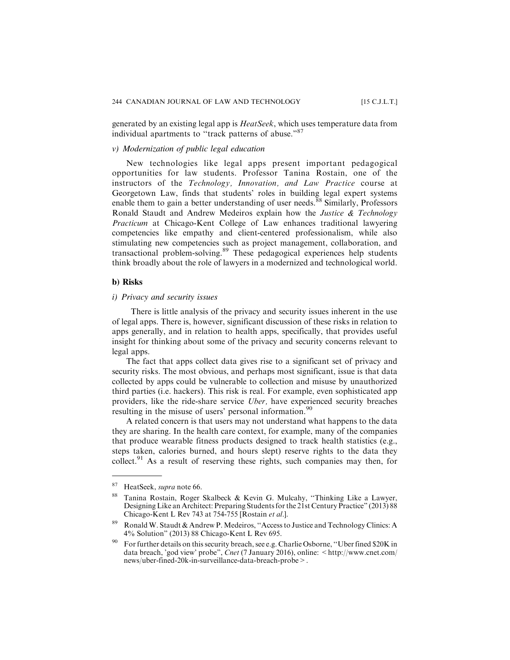generated by an existing legal app is HeatSeek, which uses temperature data from individual apartments to "track patterns of abuse."<sup>87</sup>

#### *v) Modernization of public legal education*

New technologies like legal apps present important pedagogical opportunities for law students. Professor Tanina Rostain, one of the instructors of the Technology, Innovation, and Law Practice course at Georgetown Law, finds that students' roles in building legal expert systems enable them to gain a better understanding of user needs.<sup>88</sup> Similarly, Professors Ronald Staudt and Andrew Medeiros explain how the Justice & Technology Practicum at Chicago-Kent College of Law enhances traditional lawyering competencies like empathy and client-centered professionalism, while also stimulating new competencies such as project management, collaboration, and transactional problem-solving.<sup>89</sup> These pedagogical experiences help students think broadly about the role of lawyers in a modernized and technological world.

#### **b) Risks**

#### *i) Privacy and security issues*

There is little analysis of the privacy and security issues inherent in the use of legal apps. There is, however, significant discussion of these risks in relation to apps generally, and in relation to health apps, specifically, that provides useful insight for thinking about some of the privacy and security concerns relevant to legal apps.

The fact that apps collect data gives rise to a significant set of privacy and security risks. The most obvious, and perhaps most significant, issue is that data collected by apps could be vulnerable to collection and misuse by unauthorized third parties (i.e. hackers). This risk is real. For example, even sophisticated app providers, like the ride-share service Uber, have experienced security breaches resulting in the misuse of users' personal information.<sup>90</sup>

A related concern is that users may not understand what happens to the data they are sharing. In the health care context, for example, many of the companies that produce wearable fitness products designed to track health statistics (e.g., steps taken, calories burned, and hours slept) reserve rights to the data they collect.<sup>91</sup> As a result of reserving these rights, such companies may then, for

<sup>&</sup>lt;sup>87</sup> HeatSeek, *supra* note 66.

Tanina Rostain, Roger Skalbeck & Kevin G. Mulcahy, "Thinking Like a Lawyer, Designing Like an Architect: Preparing Students for the 21st Century Practice" (2013) 88 Chicago-Kent L Rev 743 at 754-755 [Rostain et al.].

Ronald W. Staudt & Andrew P. Medeiros, "Access to Justice and Technology Clinics: A 4% Solution" (2013) 88 Chicago-Kent L Rev 695.

<sup>&</sup>lt;sup>90</sup> For further details on this security breach, see e.g. Charlie Osborne, "Uber fined \$20K in data breach, 'god view' probe", Cnet (7 January 2016), online: <http://www.cnet.com/ news/uber-fined-20k-in-surveillance-data-breach-probe>.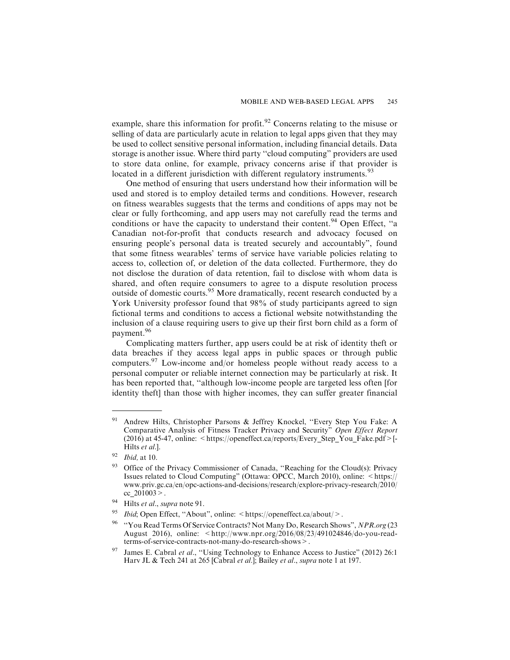example, share this information for profit.<sup>92</sup> Concerns relating to the misuse or selling of data are particularly acute in relation to legal apps given that they may be used to collect sensitive personal information, including financial details. Data storage is another issue. Where third party ''cloud computing" providers are used to store data online, for example, privacy concerns arise if that provider is located in a different jurisdiction with different regulatory instruments.<sup>93</sup>

One method of ensuring that users understand how their information will be used and stored is to employ detailed terms and conditions. However, research on fitness wearables suggests that the terms and conditions of apps may not be clear or fully forthcoming, and app users may not carefully read the terms and conditions or have the capacity to understand their content.<sup>94</sup> Open Effect, "a Canadian not-for-profit that conducts research and advocacy focused on ensuring people's personal data is treated securely and accountably", found that some fitness wearables' terms of service have variable policies relating to access to, collection of, or deletion of the data collected. Furthermore, they do not disclose the duration of data retention, fail to disclose with whom data is shared, and often require consumers to agree to a dispute resolution process outside of domestic courts.<sup>95</sup> More dramatically, recent research conducted by a York University professor found that 98% of study participants agreed to sign fictional terms and conditions to access a fictional website notwithstanding the inclusion of a clause requiring users to give up their first born child as a form of payment.<sup>96</sup>

Complicating matters further, app users could be at risk of identity theft or data breaches if they access legal apps in public spaces or through public computers.<sup>97</sup> Low-income and/or homeless people without ready access to a personal computer or reliable internet connection may be particularly at risk. It has been reported that, ''although low-income people are targeted less often [for identity theft] than those with higher incomes, they can suffer greater financial

Andrew Hilts, Christopher Parsons & Jeffrey Knockel, "Every Step You Fake: A Comparative Analysis of Fitness Tracker Privacy and Security" Open Effect Report (2016) at 45-47, online: <https://openeffect.ca/reports/Every\_Step\_You\_Fake.pdf>[-Hilts et al.].

<sup>92</sup> Ibid, at 10.

Office of the Privacy Commissioner of Canada, "Reaching for the Cloud(s): Privacy Issues related to Cloud Computing" (Ottawa: OPCC, March 2010), online: <https:// www.priv.gc.ca/en/opc-actions-and-decisions/research/explore-privacy-research/2010/ cc\_201003>.

<sup>&</sup>lt;sup>94</sup> Hilts et al., supra note 91.

*Ibid*; Open Effect, "About", online:  $\langle \text{https://openeffect.ca/about/}>.$ 

<sup>&</sup>lt;sup>96</sup> "You Read Terms Of Service Contracts? Not Many Do, Research Shows", NPR.org (23 August 2016), online: <http://www.npr.org/2016/08/23/491024846/do-you-readterms-of-service-contracts-not-many-do-research-shows>.

<sup>&</sup>lt;sup>97</sup> James E. Cabral *et al.*, "Using Technology to Enhance Access to Justice" (2012) 26:1 Harv JL & Tech 241 at 265 [Cabral *et al.*]; Bailey *et al.*, *supra* note 1 at 197.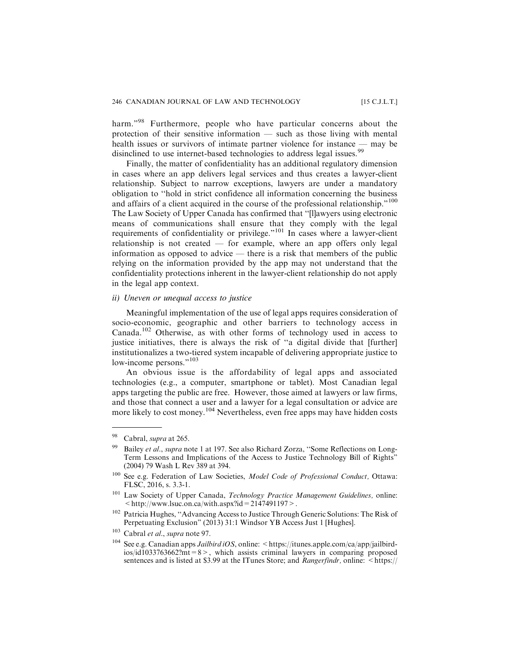harm."<sup>98</sup> Furthermore, people who have particular concerns about the protection of their sensitive information — such as those living with mental health issues or survivors of intimate partner violence for instance — may be disinclined to use internet-based technologies to address legal issues.<sup>99</sup>

Finally, the matter of confidentiality has an additional regulatory dimension in cases where an app delivers legal services and thus creates a lawyer-client relationship. Subject to narrow exceptions, lawyers are under a mandatory obligation to ''hold in strict confidence all information concerning the business and affairs of a client acquired in the course of the professional relationship."<sup>100</sup> The Law Society of Upper Canada has confirmed that ''[l]awyers using electronic means of communications shall ensure that they comply with the legal requirements of confidentiality or privilege."<sup>101</sup> In cases where a lawyer-client relationship is not created — for example, where an app offers only legal information as opposed to advice — there is a risk that members of the public relying on the information provided by the app may not understand that the confidentiality protections inherent in the lawyer-client relationship do not apply in the legal app context.

#### *ii) Uneven or unequal access to justice*

Meaningful implementation of the use of legal apps requires consideration of socio-economic, geographic and other barriers to technology access in Canada.<sup>102</sup> Otherwise, as with other forms of technology used in access to justice initiatives, there is always the risk of ''a digital divide that [further] institutionalizes a two-tiered system incapable of delivering appropriate justice to low-income persons."<sup>103</sup>

An obvious issue is the affordability of legal apps and associated technologies (e.g., a computer, smartphone or tablet). Most Canadian legal apps targeting the public are free. However, those aimed at lawyers or law firms, and those that connect a user and a lawyer for a legal consultation or advice are more likely to cost money.<sup>104</sup> Nevertheless, even free apps may have hidden costs

<sup>&</sup>lt;sup>98</sup> Cabral, *supra* at 265.

Bailey et al., supra note 1 at 197. See also Richard Zorza, "Some Reflections on Long-Term Lessons and Implications of the Access to Justice Technology Bill of Rights" (2004) 79 Wash L Rev 389 at 394.

<sup>&</sup>lt;sup>100</sup> See e.g. Federation of Law Societies, Model Code of Professional Conduct, Ottawa: FLSC, 2016, s. 3.3-1.

<sup>&</sup>lt;sup>101</sup> Law Society of Upper Canada, Technology Practice Management Guidelines, online:  $\langle$ http://www.lsuc.on.ca/with.aspx?id=2147491197>.

<sup>102</sup> Patricia Hughes, ''Advancing Access to Justice Through Generic Solutions: The Risk of Perpetuating Exclusion" (2013) 31:1 Windsor YB Access Just 1 [Hughes].

<sup>103</sup> Cabral et al., supra note 97.

<sup>&</sup>lt;sup>104</sup> See e.g. Canadian apps *Jailbird iOS*, online: <https://itunes.apple.com/ca/app/jailbird $i\omega\sin\theta$  ios/id1033763662?mt=8>, which assists criminal lawyers in comparing proposed sentences and is listed at \$3.99 at the ITunes Store; and *Rangerfindr*, online: <https://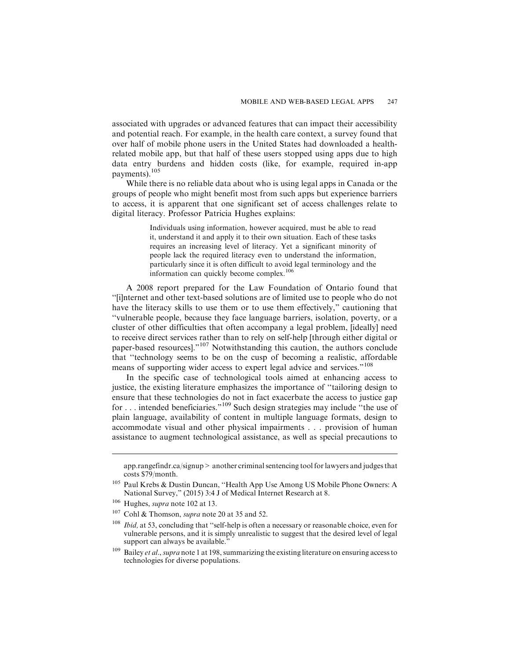associated with upgrades or advanced features that can impact their accessibility and potential reach. For example, in the health care context, a survey found that over half of mobile phone users in the United States had downloaded a healthrelated mobile app, but that half of these users stopped using apps due to high data entry burdens and hidden costs (like, for example, required in-app payments).<sup>105</sup>

While there is no reliable data about who is using legal apps in Canada or the groups of people who might benefit most from such apps but experience barriers to access, it is apparent that one significant set of access challenges relate to digital literacy. Professor Patricia Hughes explains:

> Individuals using information, however acquired, must be able to read it, understand it and apply it to their own situation. Each of these tasks requires an increasing level of literacy. Yet a significant minority of people lack the required literacy even to understand the information, particularly since it is often difficult to avoid legal terminology and the information can quickly become complex.<sup>106</sup>

A 2008 report prepared for the Law Foundation of Ontario found that ''[i]nternet and other text-based solutions are of limited use to people who do not have the literacy skills to use them or to use them effectively," cautioning that ''vulnerable people, because they face language barriers, isolation, poverty, or a cluster of other difficulties that often accompany a legal problem, [ideally] need to receive direct services rather than to rely on self-help [through either digital or paper-based resources]."<sup>107</sup> Notwithstanding this caution, the authors conclude that ''technology seems to be on the cusp of becoming a realistic, affordable means of supporting wider access to expert legal advice and services."<sup>108</sup>

In the specific case of technological tools aimed at enhancing access to justice, the existing literature emphasizes the importance of ''tailoring design to ensure that these technologies do not in fact exacerbate the access to justice gap for . . . intended beneficiaries."<sup>109</sup> Such design strategies may include ''the use of plain language, availability of content in multiple language formats, design to accommodate visual and other physical impairments . . . provision of human assistance to augment technological assistance, as well as special precautions to

 $app.random.ca/signup > another criminal sentence tool for lawvers and judges that$ costs \$79/month.

<sup>105</sup> Paul Krebs & Dustin Duncan, ''Health App Use Among US Mobile Phone Owners: A National Survey," (2015) 3:4 J of Medical Internet Research at 8.

<sup>&</sup>lt;sup>106</sup> Hughes, *supra* note 102 at 13.

<sup>&</sup>lt;sup>107</sup> Cohl & Thomson, *supra* note 20 at 35 and 52.

<sup>&</sup>lt;sup>108</sup> *Ibid*, at 53, concluding that "self-help is often a necessary or reasonable choice, even for vulnerable persons, and it is simply unrealistic to suggest that the desired level of legal support can always be available."

 $109$  Bailey *et al., supra* note 1 at 198, summarizing the existing literature on ensuring access to technologies for diverse populations.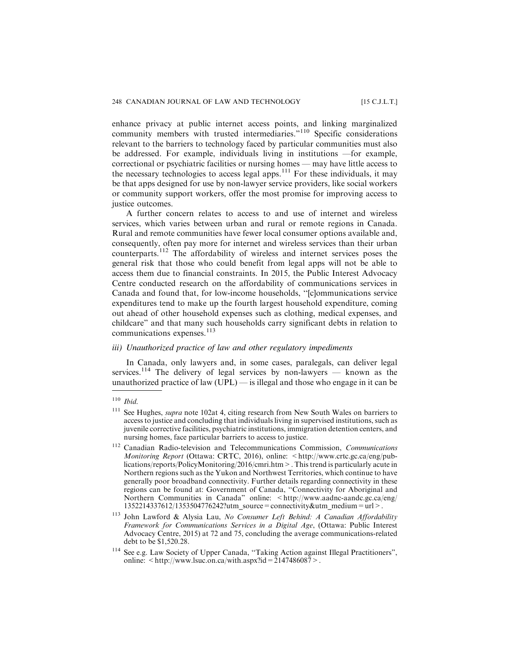enhance privacy at public internet access points, and linking marginalized community members with trusted intermediaries."<sup>110</sup> Specific considerations relevant to the barriers to technology faced by particular communities must also be addressed. For example, individuals living in institutions —for example, correctional or psychiatric facilities or nursing homes — may have little access to the necessary technologies to access legal apps.<sup>111</sup> For these individuals, it may be that apps designed for use by non-lawyer service providers, like social workers or community support workers, offer the most promise for improving access to justice outcomes.

A further concern relates to access to and use of internet and wireless services, which varies between urban and rural or remote regions in Canada. Rural and remote communities have fewer local consumer options available and, consequently, often pay more for internet and wireless services than their urban counterparts.<sup>112</sup> The affordability of wireless and internet services poses the general risk that those who could benefit from legal apps will not be able to access them due to financial constraints. In 2015, the Public Interest Advocacy Centre conducted research on the affordability of communications services in Canada and found that, for low-income households, ''[c]ommunications service expenditures tend to make up the fourth largest household expenditure, coming out ahead of other household expenses such as clothing, medical expenses, and childcare" and that many such households carry significant debts in relation to communications expenses.<sup>113</sup>

#### *iii) Unauthorized practice of law and other regulatory impediments*

In Canada, only lawyers and, in some cases, paralegals, can deliver legal services.<sup>114</sup> The delivery of legal services by non-lawyers — known as the unauthorized practice of law  $(UPL)$  — is illegal and those who engage in it can be

 $110$  Ibid.

<sup>&</sup>lt;sup>111</sup> See Hughes, *supra* note 102at 4, citing research from New South Wales on barriers to access to justice and concluding that individuals living in supervised institutions, such as juvenile corrective facilities, psychiatric institutions, immigration detention centers, and nursing homes, face particular barriers to access to justice.

<sup>&</sup>lt;sup>112</sup> Canadian Radio-television and Telecommunications Commission, Communications Monitoring Report (Ottawa: CRTC, 2016), online: <http://www.crtc.gc.ca/eng/publications/reports/PolicyMonitoring/2016/cmri.htm>. This trend is particularly acute in Northern regions such as the Yukon and Northwest Territories, which continue to have generally poor broadband connectivity. Further details regarding connectivity in these regions can be found at: Government of Canada, ''Connectivity for Aboriginal and Northern Communities in Canada" online: <http://www.aadnc-aandc.gc.ca/eng/ 1352214337612/1353504776242?utm\_source=connectivity&utm\_medium=url>.

<sup>&</sup>lt;sup>113</sup> John Lawford & Alysia Lau, No Consumer Left Behind: A Canadian Affordability Framework for Communications Services in a Digital Age, (Ottawa: Public Interest Advocacy Centre, 2015) at 72 and 75, concluding the average communications-related debt to be \$1,520.28.

<sup>114</sup> See e.g. Law Society of Upper Canada, ''Taking Action against Illegal Practitioners", online:  $\langle \text{http://www.lsuc.on.ca/wiki.aspx?id} = 2147486087 \rangle$ .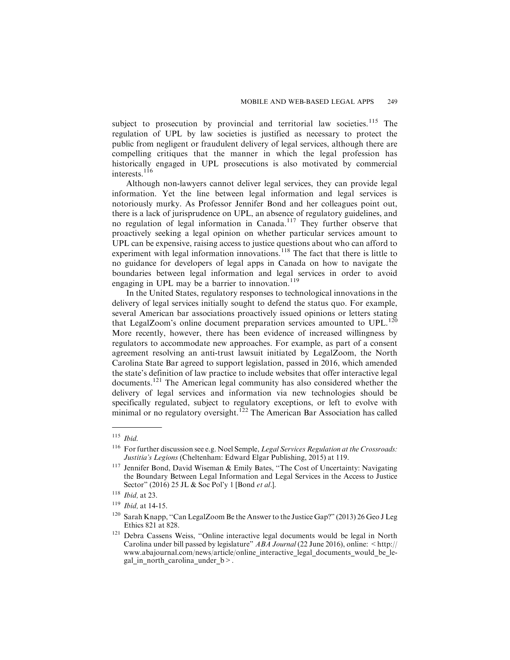subject to prosecution by provincial and territorial law societies.<sup>115</sup> The regulation of UPL by law societies is justified as necessary to protect the public from negligent or fraudulent delivery of legal services, although there are compelling critiques that the manner in which the legal profession has historically engaged in UPL prosecutions is also motivated by commercial interests. $116$ 

Although non-lawyers cannot deliver legal services, they can provide legal information. Yet the line between legal information and legal services is notoriously murky. As Professor Jennifer Bond and her colleagues point out, there is a lack of jurisprudence on UPL, an absence of regulatory guidelines, and no regulation of legal information in Canada.<sup>117</sup> They further observe that proactively seeking a legal opinion on whether particular services amount to UPL can be expensive, raising access to justice questions about who can afford to experiment with legal information innovations.<sup>118</sup> The fact that there is little to no guidance for developers of legal apps in Canada on how to navigate the boundaries between legal information and legal services in order to avoid engaging in UPL may be a barrier to innovation. $119$ 

In the United States, regulatory responses to technological innovations in the delivery of legal services initially sought to defend the status quo. For example, several American bar associations proactively issued opinions or letters stating that LegalZoom's online document preparation services amounted to  $UPL$ .<sup>120</sup> More recently, however, there has been evidence of increased willingness by regulators to accommodate new approaches. For example, as part of a consent agreement resolving an anti-trust lawsuit initiated by LegalZoom, the North Carolina State Bar agreed to support legislation, passed in 2016, which amended the state's definition of law practice to include websites that offer interactive legal documents.<sup>121</sup> The American legal community has also considered whether the delivery of legal services and information via new technologies should be specifically regulated, subject to regulatory exceptions, or left to evolve with minimal or no regulatory oversight.<sup>122</sup> The American Bar Association has called

 $115$  *Ibid.* 

<sup>&</sup>lt;sup>116</sup> For further discussion see e.g. Noel Semple, *Legal Services Regulation at the Crossroads*: Justitia's Legions (Cheltenham: Edward Elgar Publishing, 2015) at 119.

<sup>&</sup>lt;sup>117</sup> Jennifer Bond, David Wiseman & Emily Bates, "The Cost of Uncertainty: Navigating the Boundary Between Legal Information and Legal Services in the Access to Justice Sector" (2016) 25 JL & Soc Pol'y 1 [Bond et al.].

 $118$  *Ibid*, at 23.

<sup>119</sup> Ibid, at 14-15.

<sup>&</sup>lt;sup>120</sup> Sarah Knapp, "Can LegalZoom Be the Answer to the Justice Gap?" (2013) 26 Geo J Leg Ethics 821 at 828.

<sup>&</sup>lt;sup>121</sup> Debra Cassens Weiss, "Online interactive legal documents would be legal in North Carolina under bill passed by legislature"  $ABA$  Journal (22 June 2016), online:  $\lt^{\hbox{http://}}$ www.abajournal.com/news/article/online\_interactive\_legal\_documents\_would\_be\_legal in north carolina under  $b$  >.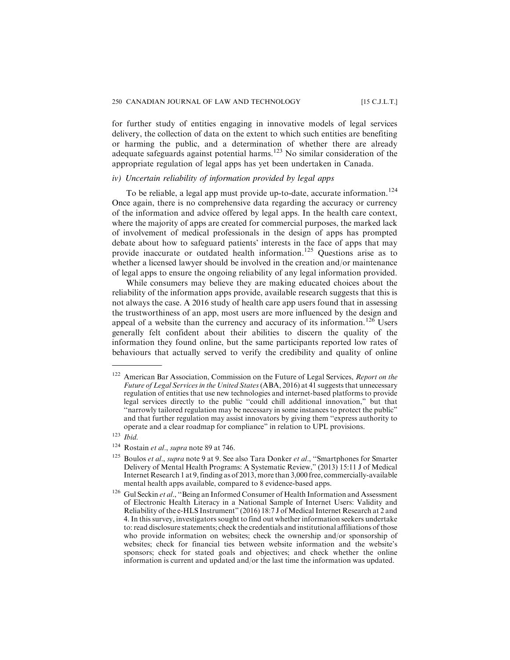for further study of entities engaging in innovative models of legal services delivery, the collection of data on the extent to which such entities are benefiting or harming the public, and a determination of whether there are already adequate safeguards against potential harms.<sup>123</sup> No similar consideration of the appropriate regulation of legal apps has yet been undertaken in Canada.

#### *iv) Uncertain reliability of information provided by legal apps*

To be reliable, a legal app must provide up-to-date, accurate information.<sup>124</sup> Once again, there is no comprehensive data regarding the accuracy or currency of the information and advice offered by legal apps. In the health care context, where the majority of apps are created for commercial purposes, the marked lack of involvement of medical professionals in the design of apps has prompted debate about how to safeguard patients' interests in the face of apps that may provide inaccurate or outdated health information.<sup>125</sup> Questions arise as to whether a licensed lawyer should be involved in the creation and/or maintenance of legal apps to ensure the ongoing reliability of any legal information provided.

While consumers may believe they are making educated choices about the reliability of the information apps provide, available research suggests that this is not always the case. A 2016 study of health care app users found that in assessing the trustworthiness of an app, most users are more influenced by the design and appeal of a website than the currency and accuracy of its information.<sup>126</sup> Users generally felt confident about their abilities to discern the quality of the information they found online, but the same participants reported low rates of behaviours that actually served to verify the credibility and quality of online

 $122$  American Bar Association, Commission on the Future of Legal Services, Report on the Future of Legal Services in the United States (ABA, 2016) at 41 suggests that unnecessary regulation of entities that use new technologies and internet-based platforms to provide legal services directly to the public ''could chill additional innovation," but that ''narrowly tailored regulation may be necessary in some instances to protect the public" and that further regulation may assist innovators by giving them ''express authority to operate and a clear roadmap for compliance" in relation to UPL provisions.

 $123$  *Ibid.* 

 $124$  Rostain et al., supra note 89 at 746.

 $125$  Boulos et al., supra note 9 at 9. See also Tara Donker et al., "Smartphones for Smarter Delivery of Mental Health Programs: A Systematic Review," (2013) 15:11 J of Medical Internet Research 1 at 9, finding as of 2013, more than 3,000 free, commercially-available mental health apps available, compared to 8 evidence-based apps.

<sup>&</sup>lt;sup>126</sup> Gul Seckin et al., "Being an Informed Consumer of Health Information and Assessment of Electronic Health Literacy in a National Sample of Internet Users: Validity and Reliability of the e-HLS Instrument" (2016) 18:7 J of Medical Internet Research at 2 and 4. In this survey, investigators sought to find out whether information seekers undertake to: read disclosure statements; check the credentials and institutional affiliations of those who provide information on websites; check the ownership and/or sponsorship of websites; check for financial ties between website information and the website's sponsors; check for stated goals and objectives; and check whether the online information is current and updated and/or the last time the information was updated.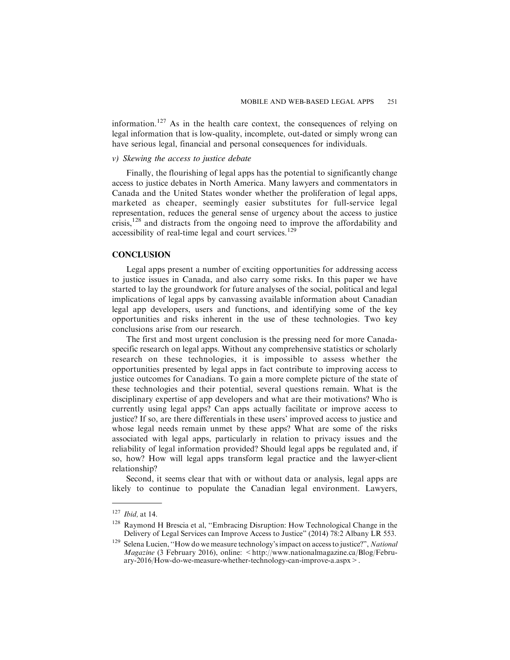information.<sup>127</sup> As in the health care context, the consequences of relying on legal information that is low-quality, incomplete, out-dated or simply wrong can have serious legal, financial and personal consequences for individuals.

#### *v) Skewing the access to justice debate*

Finally, the flourishing of legal apps has the potential to significantly change access to justice debates in North America. Many lawyers and commentators in Canada and the United States wonder whether the proliferation of legal apps, marketed as cheaper, seemingly easier substitutes for full-service legal representation, reduces the general sense of urgency about the access to justice crisis,<sup>128</sup> and distracts from the ongoing need to improve the affordability and accessibility of real-time legal and court services.<sup>129</sup>

#### **CONCLUSION**

Legal apps present a number of exciting opportunities for addressing access to justice issues in Canada, and also carry some risks. In this paper we have started to lay the groundwork for future analyses of the social, political and legal implications of legal apps by canvassing available information about Canadian legal app developers, users and functions, and identifying some of the key opportunities and risks inherent in the use of these technologies. Two key conclusions arise from our research.

The first and most urgent conclusion is the pressing need for more Canadaspecific research on legal apps. Without any comprehensive statistics or scholarly research on these technologies, it is impossible to assess whether the opportunities presented by legal apps in fact contribute to improving access to justice outcomes for Canadians. To gain a more complete picture of the state of these technologies and their potential, several questions remain. What is the disciplinary expertise of app developers and what are their motivations? Who is currently using legal apps? Can apps actually facilitate or improve access to justice? If so, are there differentials in these users' improved access to justice and whose legal needs remain unmet by these apps? What are some of the risks associated with legal apps, particularly in relation to privacy issues and the reliability of legal information provided? Should legal apps be regulated and, if so, how? How will legal apps transform legal practice and the lawyer-client relationship?

Second, it seems clear that with or without data or analysis, legal apps are likely to continue to populate the Canadian legal environment. Lawyers,

 $127$  *Ibid*, at 14.

<sup>128</sup> Raymond H Brescia et al, ''Embracing Disruption: How Technological Change in the Delivery of Legal Services can Improve Access to Justice" (2014) 78:2 Albany LR 553.

<sup>&</sup>lt;sup>129</sup> Selena Lucien, "How do we measure technology's impact on access to justice?", National  $Magazine$  (3 February 2016), online:  $\lt$ http://www.nationalmagazine.ca/Blog/February-2016/How-do-we-measure-whether-technology-can-improve-a.aspx>.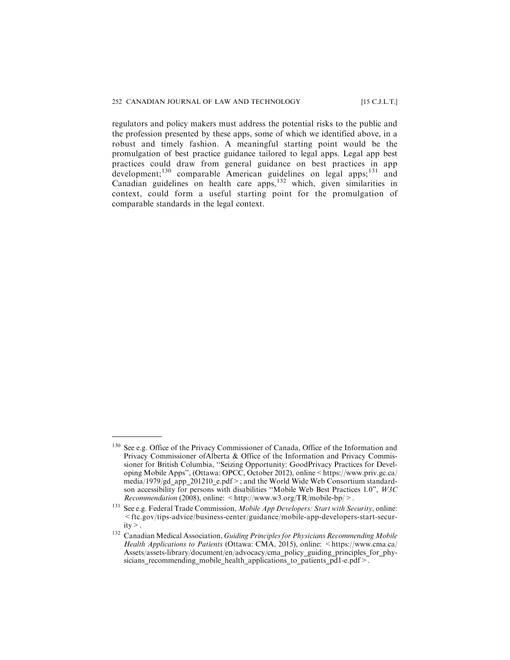regulators and policy makers must address the potential risks to the public and the profession presented by these apps, some of which we identified above, in a robust and timely fashion. A meaningful starting point would be the promulgation of best practice guidance tailored to legal apps. Legal app best practices could draw from general guidance on best practices in app development;<sup>130</sup> comparable American guidelines on legal apps;<sup>131</sup> and Canadian guidelines on health care apps,<sup>132</sup> which, given similarities in context, could form a useful starting point for the promulgation of comparable standards in the legal context.

<sup>&</sup>lt;sup>130</sup> See e.g. Office of the Privacy Commissioner of Canada, Office of the Information and Privacy Commissioner ofAlberta & Office of the Information and Privacy Commissioner for British Columbia, ''Seizing Opportunity: GoodPrivacy Practices for Developing Mobile Apps", (Ottawa: OPCC, October 2012), online<https://www.priv.gc.ca/ media/1979/gd\_app\_201210\_e.pdf>; and the World Wide Web Consortium standardson accessibility for persons with disabilities ''Mobile Web Best Practices 1.0", W3C Recommendation (2008), online: <http://www.w3.org/TR/mobile-bp/>.

<sup>&</sup>lt;sup>131</sup> See e.g. Federal Trade Commission, Mobile App Developers: Start with Security, online: <ftc.gov/tips-advice/business-center/guidance/mobile-app-developers-start-security>.

<sup>&</sup>lt;sup>132</sup> Canadian Medical Association, Guiding Principles for Physicians Recommending Mobile Health Applications to Patients (Ottawa: CMA, 2015), online: <https://www.cma.ca/ Assets/assets-library/document/en/advocacy/cma\_policy\_guiding\_principles\_for\_physicians recommending mobile health applications to patients  $pd1-e.pdf$ .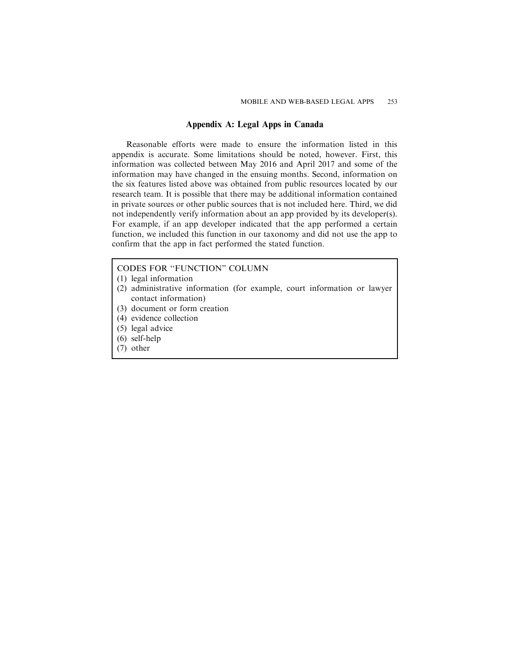#### Appendix A: Legal Apps in Canada

Reasonable efforts were made to ensure the information listed in this appendix is accurate. Some limitations should be noted, however. First, this information was collected between May 2016 and April 2017 and some of the information may have changed in the ensuing months. Second, information on the six features listed above was obtained from public resources located by our research team. It is possible that there may be additional information contained in private sources or other public sources that is not included here. Third, we did not independently verify information about an app provided by its developer(s). For example, if an app developer indicated that the app performed a certain function, we included this function in our taxonomy and did not use the app to confirm that the app in fact performed the stated function.

#### CODES FOR ''FUNCTION" COLUMN

- (1) legal information
- (2) administrative information (for example, court information or lawyer contact information)
- (3) document or form creation
- (4) evidence collection
- (5) legal advice
- (6) self-help
- (7) other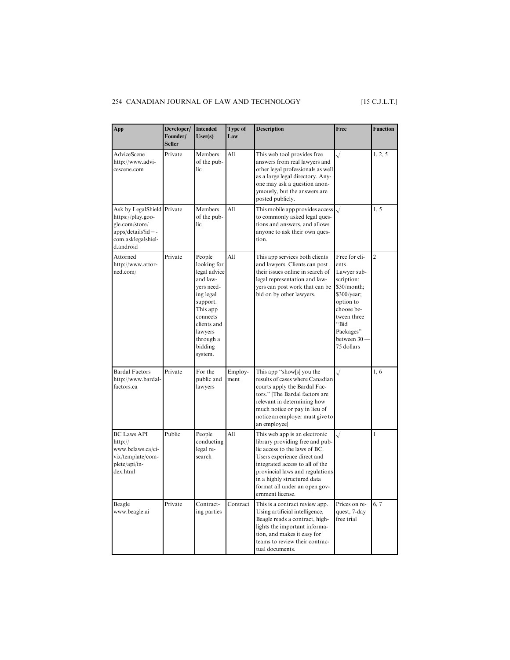### 254 CANADIAN JOURNAL OF LAW AND TECHNOLOGY [15 C.J.L.T.]

| App                                                                                                                           | Developer/<br>Founder/<br><b>Seller</b> | <b>Intended</b><br>User(s)                                                                                                                                                    | Type of<br>Law  | <b>Description</b>                                                                                                                                                                                                                                                                         | Free                                                                                                                                                                        | <b>Function</b> |
|-------------------------------------------------------------------------------------------------------------------------------|-----------------------------------------|-------------------------------------------------------------------------------------------------------------------------------------------------------------------------------|-----------------|--------------------------------------------------------------------------------------------------------------------------------------------------------------------------------------------------------------------------------------------------------------------------------------------|-----------------------------------------------------------------------------------------------------------------------------------------------------------------------------|-----------------|
| AdviceScene<br>http://www.advi-<br>cescene.com                                                                                | Private                                 | Members<br>of the pub-<br>lic                                                                                                                                                 | All             | This web tool provides free<br>answers from real lawyers and<br>other legal professionals as well<br>as a large legal directory. Any-<br>one may ask a question anon-<br>ymously, but the answers are<br>posted publicly.                                                                  | $\sqrt{}$                                                                                                                                                                   | 1, 2, 5         |
| Ask by LegalShield Private<br>https://play.goo-<br>gle.com/store/<br>$apps/details?id = -$<br>com.asklegalshiel-<br>d.android |                                         | Members<br>of the pub-<br>lic                                                                                                                                                 | All             | This mobile app provides access<br>to commonly asked legal ques-<br>tions and answers, and allows<br>anyone to ask their own ques-<br>tion.                                                                                                                                                |                                                                                                                                                                             | 1, 5            |
| Attorned<br>http://www.attor-<br>ned.com/                                                                                     | Private                                 | People<br>looking for<br>legal advice<br>and law-<br>vers need-<br>ing legal<br>support.<br>This app<br>connects<br>clients and<br>lawyers<br>through a<br>bidding<br>system. | All             | This app services both clients<br>and lawyers. Clients can post<br>their issues online in search of<br>legal representation and law-<br>yers can post work that can be<br>bid on by other lawyers.                                                                                         | Free for cli-<br>ents<br>Lawyer sub-<br>scription:<br>\$30/month;<br>\$300/year;<br>option to<br>choose be-<br>tween three<br>"Bid<br>Packages"<br>between 30<br>75 dollars | $\overline{c}$  |
| <b>Bardal Factors</b><br>http://www.bardal-<br>factors.ca                                                                     | Private                                 | For the<br>public and<br>lawyers                                                                                                                                              | Employ-<br>ment | This app "show[s] you the<br>results of cases where Canadian<br>courts apply the Bardal Fac-<br>tors." [The Bardal factors are<br>relevant in determining how<br>much notice or pay in lieu of<br>notice an employer must give to<br>an employee]                                          |                                                                                                                                                                             | 1,6             |
| <b>BC Laws API</b><br>http://<br>www.bclaws.ca/ci-<br>vix/template/com-<br>plete/api/in-<br>dex.html                          | Public                                  | People<br>conducting<br>legal re-<br>search                                                                                                                                   | All             | This web app is an electronic<br>library providing free and pub-<br>lic access to the laws of BC.<br>Users experience direct and<br>integrated access to all of the<br>provincial laws and regulations<br>in a highly structured data<br>format all under an open gov-<br>ernment license. |                                                                                                                                                                             | 1               |
| Beagle<br>www.beagle.ai                                                                                                       | Private                                 | Contract-<br>ing parties                                                                                                                                                      | Contract        | This is a contract review app.<br>Using artificial intelligence,<br>Beagle reads a contract, high-<br>lights the important informa-<br>tion, and makes it easy for<br>teams to review their contrac-<br>tual documents.                                                                    | Prices on re-<br>quest, 7-day<br>free trial                                                                                                                                 | 6, 7            |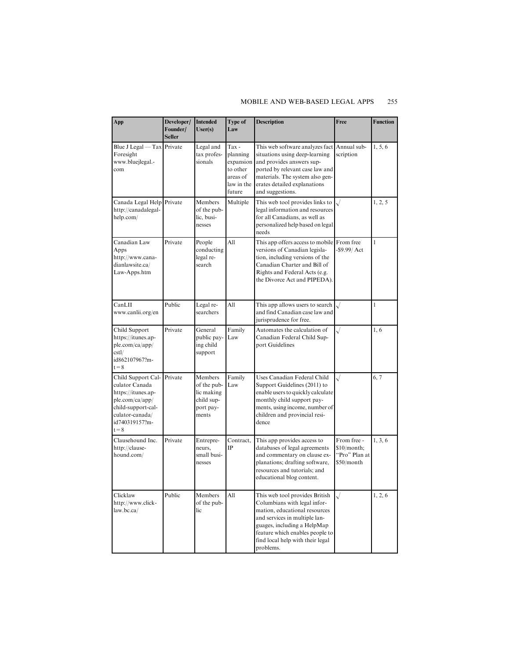#### MOBILE AND WEB-BASED LEGAL APPS 255

| App                                                                                                                                                 | Developer/<br>Founder/<br><b>Seller</b> | <b>Intended</b><br>User(s)                                               | Type of<br>Law                                                                 | <b>Description</b>                                                                                                                                                                                                                                  | Free                                                      | <b>Function</b> |
|-----------------------------------------------------------------------------------------------------------------------------------------------------|-----------------------------------------|--------------------------------------------------------------------------|--------------------------------------------------------------------------------|-----------------------------------------------------------------------------------------------------------------------------------------------------------------------------------------------------------------------------------------------------|-----------------------------------------------------------|-----------------|
| Blue J Legal — Tax Private<br>Foresight<br>www.bluejlegal.-<br>com                                                                                  |                                         | Legal and<br>tax profes-<br>sionals                                      | Tax -<br>planning<br>expansion<br>to other<br>areas of<br>law in the<br>future | This web software analyzes fact Annual sub-<br>situations using deep-learning<br>and provides answers sup-<br>ported by relevant case law and<br>materials. The system also gen-<br>erates detailed explanations<br>and suggestions.                | scription                                                 | 1, 5, 6         |
| Canada Legal Help Private<br>http://canadalegal-<br>help.com/                                                                                       |                                         | Members<br>of the pub-<br>lic, busi-<br>nesses                           | Multiple                                                                       | This web tool provides links to<br>legal information and resources<br>for all Canadians, as well as<br>personalized help based on legal<br>needs                                                                                                    |                                                           | 1, 2, 5         |
| Canadian Law<br>Apps<br>http://www.cana-<br>dianlawsite.ca/<br>Law-Apps.htm                                                                         | Private                                 | People<br>conducting<br>legal re-<br>search                              | All                                                                            | This app offers access to mobile From free<br>versions of Canadian legisla-<br>tion, including versions of the<br>Canadian Charter and Bill of<br>Rights and Federal Acts (e.g.<br>the Divorce Act and PIPEDA).                                     | $-$ \$9.99/ $Act$                                         | $\mathbf{1}$    |
| CanLII<br>www.canlii.org/en                                                                                                                         | Public                                  | Legal re-<br>searchers                                                   | All                                                                            | This app allows users to search<br>and find Canadian case law and<br>jurisprudence for free.                                                                                                                                                        |                                                           | $\mathbf{1}$    |
| Child Support<br>https://itunes.ap-<br>ple.com/ca/app/<br>cstl/<br>id862107967?m-<br>$t = 8$                                                        | Private                                 | General<br>public pay-<br>ing child<br>support                           | Family<br>Law                                                                  | Automates the calculation of<br>Canadian Federal Child Sup-<br>port Guidelines                                                                                                                                                                      | $\sqrt{}$                                                 | 1,6             |
| Child Support Cal-<br>culator Canada<br>https://itunes.ap-<br>ple.com/ca/app/<br>child-support-cal-<br>culator-canada/<br>id740319157?m-<br>$t = 8$ | Private                                 | Members<br>of the pub-<br>lic making<br>child sup-<br>port pay-<br>ments | Family<br>Law                                                                  | Uses Canadian Federal Child<br>Support Guidelines (2011) to<br>enable users to quickly calculate<br>monthly child support pay-<br>ments, using income, number of<br>children and provincial resi-<br>dence                                          | $\sqrt{}$                                                 | 6, 7            |
| Clausehound Inc.<br>http://clause-<br>hound.com/                                                                                                    | Private                                 | Entrepre-<br>neurs,<br>small busi-<br>nesses                             | Contract,<br>IP                                                                | This app provides access to<br>databases of legal agreements<br>and commentary on clause ex-<br>planations; drafting software,<br>resources and tutorials; and<br>educational blog content.                                                         | From free -<br>\$10/month;<br>"Pro" Plan at<br>\$50/month | 1, 3, 6         |
| Clicklaw<br>http://www.click-<br>law(bc.ca/                                                                                                         | Public                                  | Members<br>of the pub-<br>lic                                            | All                                                                            | This web tool provides British<br>Columbians with legal infor-<br>mation, educational resources<br>and services in multiple lan-<br>guages, including a HelpMap<br>feature which enables people to<br>find local help with their legal<br>problems. | $\sqrt{}$                                                 | 1, 2, 6         |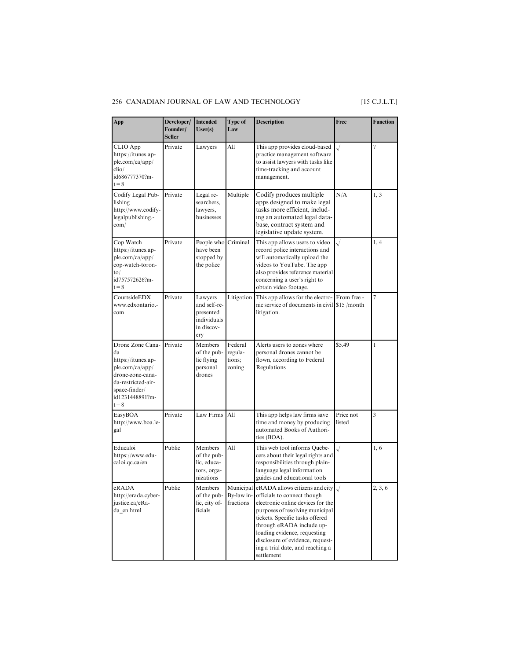#### 256 CANADIAN JOURNAL OF LAW AND TECHNOLOGY [15 C.J.L.T.]

| App                                                                                                                                                      | Developer/ Intended<br>Founder/<br><b>Seller</b> | User(s)                                                                  | Type of<br>Law                         | <b>Description</b>                                                                                                                                                                                                                                                                                                                              | Free                | <b>Function</b> |
|----------------------------------------------------------------------------------------------------------------------------------------------------------|--------------------------------------------------|--------------------------------------------------------------------------|----------------------------------------|-------------------------------------------------------------------------------------------------------------------------------------------------------------------------------------------------------------------------------------------------------------------------------------------------------------------------------------------------|---------------------|-----------------|
| CLIO App<br>https://itunes.ap-<br>ple.com/ca/app/<br>clio/<br>id686777370?m-<br>$t = 8$                                                                  | Private                                          | Lawyers                                                                  | All                                    | This app provides cloud-based<br>practice management software<br>to assist lawyers with tasks like<br>time-tracking and account<br>management.                                                                                                                                                                                                  | $\cdot/$            | 7               |
| Codify Legal Pub-<br>lishing<br>http://www.codify-<br>legalpublishing.-<br>com/                                                                          | Private                                          | Legal re-<br>searchers,<br>lawyers,<br>businesses                        | Multiple                               | Codify produces multiple<br>apps designed to make legal<br>tasks more efficient, includ-<br>ing an automated legal data-<br>base, contract system and<br>legislative update system.                                                                                                                                                             | N/A                 | 1, 3            |
| Cop Watch<br>https://itunes.ap-<br>ple.com/ca/app/<br>cop-watch-toron-<br>to/<br>id757572626?m-<br>$t = 8$                                               | Private                                          | People who<br>have been<br>stopped by<br>the police                      | Criminal                               | This app allows users to video<br>record police interactions and<br>will automatically upload the<br>videos to YouTube. The app<br>also provides reference material<br>concerning a user's right to<br>obtain video footage.                                                                                                                    | $\sqrt{}$           | 1, 4            |
| CourtsideEDX<br>www.edxontario.-<br>com                                                                                                                  | Private                                          | Lawyers<br>and self-re-<br>presented<br>individuals<br>in discov-<br>ery | Litigation                             | This app allows for the electro-From free -<br>nic service of documents in civil \$15 /month<br>litigation.                                                                                                                                                                                                                                     |                     | 7               |
| Drone Zone Cana-<br>da<br>https://itunes.ap-<br>ple.com/ca/app/<br>drone-zone-cana-<br>da-restricted-air-<br>space-finder/<br>id1231448891?m-<br>$t = 8$ | Private                                          | Members<br>of the pub-<br>lic flying<br>personal<br>drones               | Federal<br>regula-<br>tions;<br>zoning | Alerts users to zones where<br>personal drones cannot be<br>flown, according to Federal<br>Regulations                                                                                                                                                                                                                                          | \$5.49              | 1               |
| EasyBOA<br>http://www.boa.le-<br>gal                                                                                                                     | Private                                          | Law Firms                                                                | All                                    | This app helps law firms save<br>time and money by producing<br>automated Books of Authori-<br>ties (BOA).                                                                                                                                                                                                                                      | Price not<br>listed | 3               |
| Educaloi<br>https://www.edu-<br>caloi.qc.ca/en                                                                                                           | Public                                           | Members<br>of the pub-<br>lic, educa-<br>tors, orga-<br>nizations        | All                                    | This web tool informs Quebe-<br>cers about their legal rights and<br>responsibilities through plain-<br>language legal information<br>guides and educational tools                                                                                                                                                                              | $\sqrt{}$           | 1,6             |
| eRADA<br>http://erada.cyber-<br>justice.ca/eRa-<br>da_en.html                                                                                            | Public                                           | Members<br>of the pub-<br>lic, city of-<br>ficials                       | By-law in-<br>fractions                | Municipal eRADA allows citizens and city $\sqrt{}$<br>officials to connect though<br>electronic online devices for the<br>purposes of resolving municipal<br>tickets. Specific tasks offered<br>through eRADA include up-<br>loading evidence, requesting<br>disclosure of evidence, request-<br>ing a trial date, and reaching a<br>settlement |                     | 2, 3, 6         |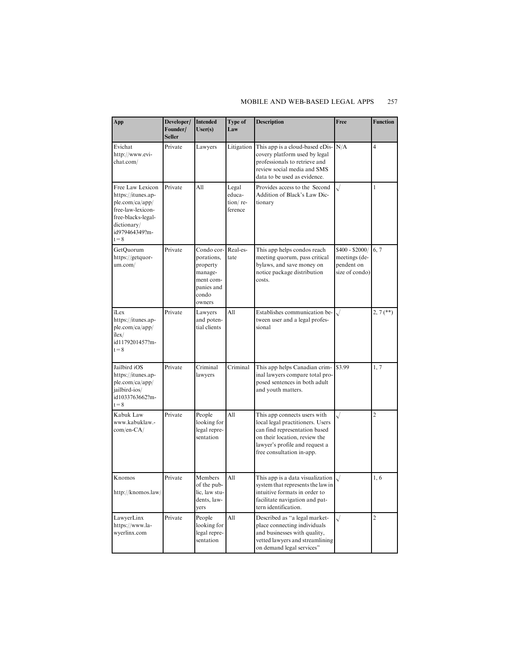#### MOBILE AND WEB-BASED LEGAL APPS 257

| App                                                                                                                                              | Developer/<br>Founder/<br><b>Seller</b> | <b>Intended</b><br>User(s)                                                                    | Type of<br>Law                         | <b>Description</b>                                                                                                                                                                                | Free                                                             | <b>Function</b> |
|--------------------------------------------------------------------------------------------------------------------------------------------------|-----------------------------------------|-----------------------------------------------------------------------------------------------|----------------------------------------|---------------------------------------------------------------------------------------------------------------------------------------------------------------------------------------------------|------------------------------------------------------------------|-----------------|
| Evichat<br>http://www.evi-<br>chat.com/                                                                                                          | Private                                 | Lawyers                                                                                       | Litigation                             | This app is a cloud-based eDis-<br>covery platform used by legal<br>professionals to retrieve and<br>review social media and SMS<br>data to be used as evidence.                                  | N/A                                                              | 4               |
| Free Law Lexicon<br>https://itunes.ap-<br>ple.com/ca/app/<br>free-law-lexicon-<br>free-blacks-legal-<br>dictionary/<br>id979464349?m-<br>$t = 8$ | Private                                 | All                                                                                           | Legal<br>educa-<br>tion/re-<br>ference | Provides access to the Second<br>Addition of Black's Law Dic-<br>tionary                                                                                                                          |                                                                  | $\mathbf{1}$    |
| GetQuorum<br>https://getquor-<br>um.com/                                                                                                         | Private                                 | Condo cor-<br>porations,<br>property<br>manage-<br>ment com-<br>panies and<br>condo<br>owners | Real-es-<br>tate                       | This app helps condos reach<br>meeting quorum, pass critical<br>bylaws, and save money on<br>notice package distribution<br>costs.                                                                | \$400 - \$2000/<br>meetings (de-<br>pendent on<br>size of condo) | 6, 7            |
| <i>i</i> Lex<br>https://itunes.ap-<br>ple.com/ca/app/<br>$i$ lex $/$<br>id1179201457?m-<br>$t = 8$                                               | Private                                 | Lawyers<br>and poten-<br>tial clients                                                         | All                                    | Establishes communication be-<br>tween user and a legal profes-<br>sional                                                                                                                         | $\sqrt{}$                                                        | $2, 7$ (**)     |
| Jailbird iOS<br>https://itunes.ap-<br>ple.com/ca/app/<br>jailbird-ios/<br>id1033763662?m-<br>$t = 8$                                             | Private                                 | Criminal<br>lawyers                                                                           | Criminal                               | This app helps Canadian crim-<br>inal lawyers compare total pro-<br>posed sentences in both adult<br>and youth matters.                                                                           | \$3.99                                                           | 1, 7            |
| Kabuk Law<br>www.kabuklaw.-<br>$com/en-CA/$                                                                                                      | Private                                 | People<br>looking for<br>legal repre-<br>sentation                                            | All                                    | This app connects users with<br>local legal practitioners. Users<br>can find representation based<br>on their location, review the<br>lawyer's profile and request a<br>free consultation in-app. | $\sqrt{}$                                                        | $\overline{c}$  |
| Knomos<br>http://knomos.law/                                                                                                                     | Private                                 | Members<br>of the pub-<br>lic, law stu-<br>dents, law-<br>yers                                | All                                    | This app is a data visualization<br>system that represents the law in<br>intuitive formats in order to<br>facilitate navigation and pat-<br>tern identification.                                  |                                                                  | 1,6             |
| LawyerLinx<br>https://www.la-<br>wyerlinx.com                                                                                                    | Private                                 | People<br>looking for<br>legal repre-<br>sentation                                            | All                                    | Described as "a legal market-<br>place connecting individuals<br>and businesses with quality,<br>vetted lawyers and streamlining<br>on demand legal services"                                     | $\sqrt{}$                                                        | $\overline{2}$  |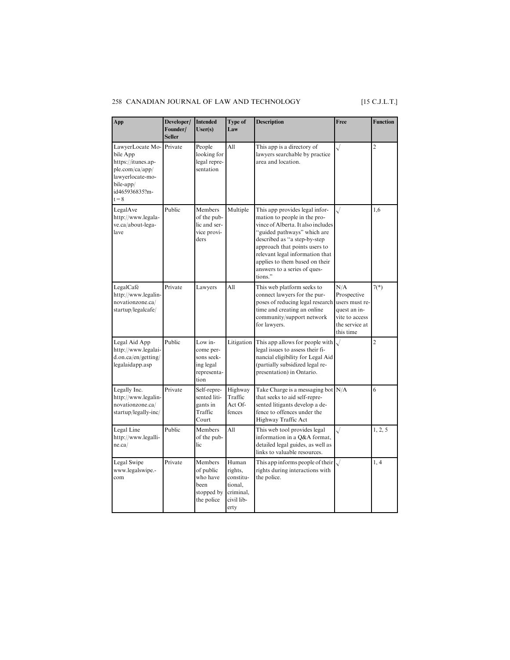### 258 CANADIAN JOURNAL OF LAW AND TECHNOLOGY [15 C.J.L.T.]

| App                                                                                                                                 | Developer/<br>Founder/<br><b>Seller</b> | <b>Intended</b><br>User(s)                                             | Type of<br>Law                                                              | <b>Description</b>                                                                                                                                                                                                                                                                                                   | Free                                                                                                  | <b>Function</b> |
|-------------------------------------------------------------------------------------------------------------------------------------|-----------------------------------------|------------------------------------------------------------------------|-----------------------------------------------------------------------------|----------------------------------------------------------------------------------------------------------------------------------------------------------------------------------------------------------------------------------------------------------------------------------------------------------------------|-------------------------------------------------------------------------------------------------------|-----------------|
| LawyerLocate Mo-<br>bile App<br>https://itunes.ap-<br>ple.com/ca/app/<br>lawyerlocate-mo-<br>bile-app/<br>id465936835?m-<br>$t = 8$ | Private                                 | People<br>looking for<br>legal repre-<br>sentation                     | All                                                                         | This app is a directory of<br>lawyers searchable by practice<br>area and location.                                                                                                                                                                                                                                   | $\sqrt{}$                                                                                             | $\overline{c}$  |
| LegalAve<br>http://www.legala-<br>ve.ca/about-lega-<br>lave                                                                         | Public                                  | Members<br>of the pub-<br>lic and ser-<br>vice provi-<br>ders          | Multiple                                                                    | This app provides legal infor-<br>mation to people in the pro-<br>vince of Alberta. It also includes<br>"guided pathways" which are<br>described as "a step-by-step<br>approach that points users to<br>relevant legal information that<br>applies to them based on their<br>answers to a series of ques-<br>tions." | $\sqrt{}$                                                                                             | 1.6             |
| LegalCafé<br>http://www.legalin-<br>novationzone.ca/<br>startup/legalcafe/                                                          | Private                                 | Lawyers                                                                | All                                                                         | This web platform seeks to<br>connect lawyers for the pur-<br>poses of reducing legal research<br>time and creating an online<br>community/support network<br>for lawyers.                                                                                                                                           | N/A<br>Prospective<br>users must re-<br>quest an in-<br>vite to access<br>the service at<br>this time | $7(*)$          |
| Legal Aid App<br>http://www.legalai-<br>d.on.ca/en/getting/<br>legalaidapp.asp                                                      | Public                                  | Low in-<br>come per-<br>sons seek-<br>ing legal<br>representa-<br>tion | Litigation                                                                  | This app allows for people with<br>legal issues to assess their fi-<br>nancial eligibility for Legal Aid<br>(partially subsidized legal re-<br>presentation) in Ontario.                                                                                                                                             | $\sqrt{}$                                                                                             | $\overline{c}$  |
| Legally Inc.<br>http://www.legalin-<br>novationzone.ca/<br>startup/legally-inc/                                                     | Private                                 | Self-repre-<br>sented liti-<br>gants in<br>Traffic<br>Court            | Highway<br>Traffic<br>Act Of-<br>fences                                     | Take Charge is a messaging bot $N/A$<br>that seeks to aid self-repre-<br>sented litigants develop a de-<br>fence to offences under the<br>Highway Traffic Act                                                                                                                                                        |                                                                                                       | 6               |
| Legal Line<br>http://www.legalli-<br>ne.ca/                                                                                         | Public                                  | Members<br>of the pub-<br>lic                                          | All                                                                         | This web tool provides legal<br>information in a Q&A format,<br>detailed legal guides, as well as<br>links to valuable resources.                                                                                                                                                                                    | $\sqrt{}$                                                                                             | 1, 2, 5         |
| Legal Swipe<br>www.legalswipe.-<br>com                                                                                              | Private                                 | Members<br>of public<br>who have<br>been<br>stopped by<br>the police   | Human<br>rights,<br>constitu-<br>tional,<br>criminal,<br>civil lib-<br>erty | This app informs people of their<br>rights during interactions with<br>the police.                                                                                                                                                                                                                                   |                                                                                                       | 1, 4            |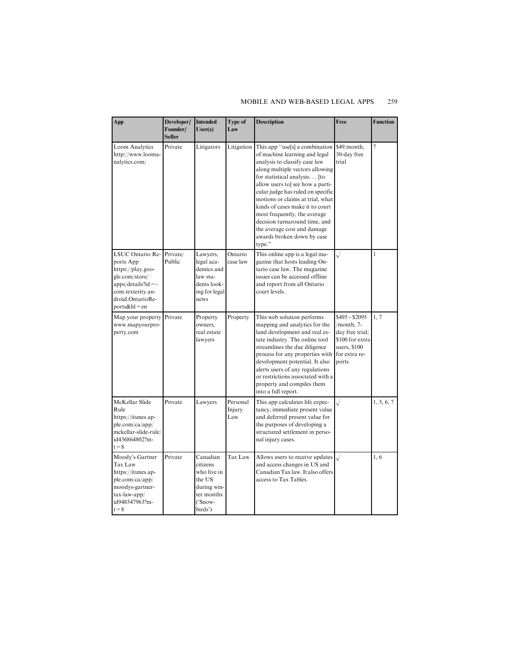#### MOBILE AND WEB-BASED LEGAL APPS 259

| App                                                                                                                                                                | Developer/<br>Founder/<br><b>Seller</b> | <b>Intended</b><br>User(s)                                                                       | Type of<br>Law            | <b>Description</b>                                                                                                                                                                                                                                                                                                                                                                                                                                          | Free                                                                                                         | <b>Function</b> |
|--------------------------------------------------------------------------------------------------------------------------------------------------------------------|-----------------------------------------|--------------------------------------------------------------------------------------------------|---------------------------|-------------------------------------------------------------------------------------------------------------------------------------------------------------------------------------------------------------------------------------------------------------------------------------------------------------------------------------------------------------------------------------------------------------------------------------------------------------|--------------------------------------------------------------------------------------------------------------|-----------------|
| Loom Analytics<br>http://www.looma-<br>nalytics.com/                                                                                                               | Private                                 | Litigators                                                                                       | Litigation                | This app "use[s] a combination<br>of machine learning and legal<br>analysis to classify case law<br>along multiple vectors allowing<br>for statistical analysis [to<br>allow users to] see how a parti-<br>cular judge has ruled on specific<br>motions or claims at trial, what<br>kinds of cases make it to court<br>most frequently, the average<br>decision turnaround time, and<br>the average cost and damage<br>awards broken down by case<br>type." | \$49/month,<br>30-day free<br>trial                                                                          | 7               |
| LSUC Ontario Re-Private/<br>ports App<br>https://play.goo-<br>gle.com/store/<br>$apps/details?id = -$<br>com.texterity.an-<br>droid.OntarioRe-<br>$ports&h$ l = en | Public                                  | Lawyers,<br>legal aca-<br>demics and<br>law stu-<br>dents look-<br>ing for legal<br>news         | Ontario<br>case law       | This online app is a legal ma-<br>gazine that hosts leading On-<br>tario case law. The magazine<br>issues can be accessed offline<br>and report from all Ontario<br>court levels.                                                                                                                                                                                                                                                                           | $\checkmark$                                                                                                 | 1               |
| Map your property Private<br>www.mapyourpro-<br>perty.com                                                                                                          |                                         | Property<br>owners.<br>real estate<br>lawyers                                                    | Property                  | This web solution performs<br>mapping and analytics for the<br>land development and real es-<br>tate industry. The online tool<br>streamlines the due diligence<br>process for any properties with<br>development potential. It also<br>alerts users of any regulations<br>or restrictions associated with a<br>property and compiles them<br>into a full report.                                                                                           | \$495 - \$2095<br>/month, 7-<br>day free trial;<br>\$100 for extra<br>users, \$100<br>for extra re-<br>ports | 1, 7            |
| McKellar Slide<br>Rule<br>https://itunes.ap-<br>ple.com/ca/app/<br>mckellar-slide-rule/<br>id436864802?m-<br>$t = 8$                                               | Private                                 | Lawyers                                                                                          | Personal<br>Injury<br>Law | This app calculates life expec-<br>tancy, immediate present value<br>and deferred present value for<br>the purposes of developing a<br>structured settlement in perso-<br>nal injury cases.                                                                                                                                                                                                                                                                 |                                                                                                              | 1, 5, 6, 7      |
| Moody's Gartner<br>Tax Law<br>https://itunes.ap-<br>ple.com/ca/app/<br>moodys-gartner-<br>$tax-law-app/$<br>id948547963?m-<br>$t = 8$                              | Private                                 | Canadian<br>citizens<br>who live in<br>the US<br>during win-<br>ter months<br>('Snow-<br>birds') | Tax Law                   | Allows users to receive updates<br>and access changes in US and<br>Canadian Tax law. It also offers<br>access to Tax Tables.                                                                                                                                                                                                                                                                                                                                |                                                                                                              | 1,6             |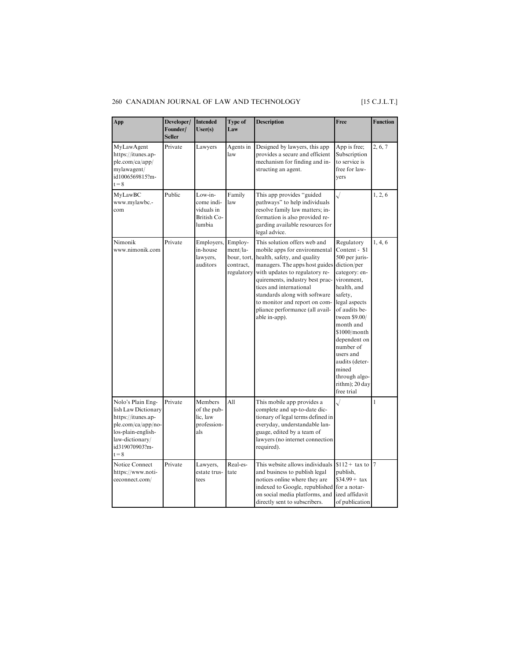#### 260 CANADIAN JOURNAL OF LAW AND TECHNOLOGY [15 C.J.L.T.]

| App                                                                                                                                                        | Developer/<br>Founder/<br><b>Seller</b> | <b>Intended</b><br>User(s)                                   | Type of<br>Law                                                | <b>Description</b>                                                                                                                                                                                                                                                                                                                                   | Free                                                                                                                                                                                                                                                                                                                        | <b>Function</b> |
|------------------------------------------------------------------------------------------------------------------------------------------------------------|-----------------------------------------|--------------------------------------------------------------|---------------------------------------------------------------|------------------------------------------------------------------------------------------------------------------------------------------------------------------------------------------------------------------------------------------------------------------------------------------------------------------------------------------------------|-----------------------------------------------------------------------------------------------------------------------------------------------------------------------------------------------------------------------------------------------------------------------------------------------------------------------------|-----------------|
| MyLawAgent<br>https://itunes.ap-<br>ple.com/ca/app/<br>mylawagent/<br>id1006569815?m-<br>$t = 8$                                                           | Private                                 | Lawyers                                                      | Agents in<br>law                                              | Designed by lawyers, this app<br>provides a secure and efficient<br>mechanism for finding and in-<br>structing an agent.                                                                                                                                                                                                                             | App is free;<br>Subscription<br>to service is<br>free for law-<br>vers                                                                                                                                                                                                                                                      | 2, 6, 7         |
| MyLawBC<br>www.mylawbc.-<br>com                                                                                                                            | Public                                  | Low-in-<br>come indi-<br>viduals in<br>British Co-<br>lumbia | Family<br>law                                                 | This app provides "guided<br>pathways" to help individuals<br>resolve family law matters; in-<br>formation is also provided re-<br>garding available resources for<br>legal advice.                                                                                                                                                                  |                                                                                                                                                                                                                                                                                                                             | 1, 2, 6         |
| Nimonik<br>www.nimonik.com                                                                                                                                 | Private                                 | Employers,<br>in-house<br>lawyers,<br>auditors               | Employ-<br>ment/la-<br>bour, tort,<br>contract,<br>regulatory | This solution offers web and<br>mobile apps for environmental<br>health, safety, and quality<br>managers. The apps host guides<br>with updates to regulatory re-<br>quirements, industry best prac-<br>tices and international<br>standards along with software<br>to monitor and report on com-<br>pliance performance (all avail-<br>able in-app). | Regulatory<br>Content - \$1<br>500 per juris-<br>diction/per<br>category: en-<br>vironment,<br>health, and<br>safety,<br>legal aspects<br>of audits be-<br>tween \$9.00/<br>month and<br>\$1000/month<br>dependent on<br>number of<br>users and<br>audits (deter-<br>mined<br>through algo-<br>rithm); 20 day<br>free trial | 1, 4, 6         |
| Nolo's Plain Eng-<br>lish Law Dictionary<br>https://itunes.ap-<br>ple.com/ca/app/no-<br>los-plain-english-<br>law-dictionary/<br>id319070903?m-<br>$t = 8$ | Private                                 | Members<br>of the pub-<br>lic, law<br>profession-<br>als     | All                                                           | This mobile app provides a<br>complete and up-to-date dic-<br>tionary of legal terms defined in<br>everyday, understandable lan-<br>guage, edited by a team of<br>lawyers (no internet connection<br>required).                                                                                                                                      |                                                                                                                                                                                                                                                                                                                             | 1               |
| Notice Connect<br>https://www.noti-<br>ceconnect.com/                                                                                                      | Private                                 | Lawyers,<br>estate trus-<br>tees                             | Real-es-<br>tate                                              | This website allows individuals<br>and business to publish legal<br>notices online where they are<br>indexed to Google, republished for a notar-<br>on social media platforms, and<br>directly sent to subscribers.                                                                                                                                  | $$112 + tax to$<br>publish,<br>$$34.99 + tax$<br>ized affidavit<br>of publication                                                                                                                                                                                                                                           | 17              |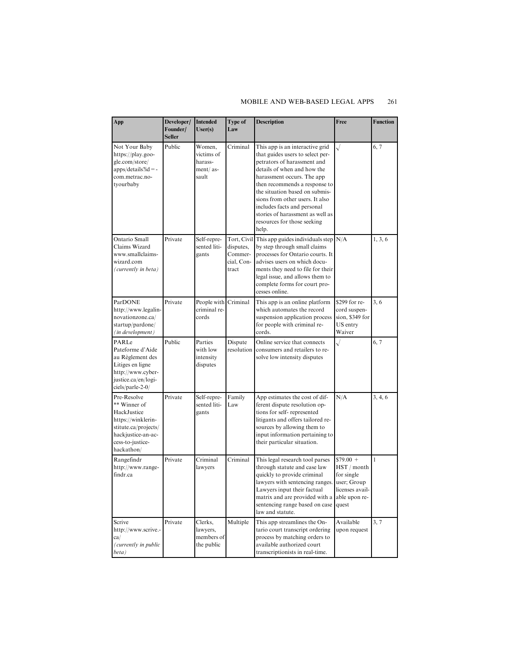#### MOBILE AND WEB-BASED LEGAL APPS 261

| App                                                                                                                                              | Developer/<br>Founder/<br><b>Seller</b> | <b>Intended</b><br>User(s)                           | Type of<br>Law                              | <b>Description</b>                                                                                                                                                                                                                                                                                                                                                               | Free                                                                               | <b>Function</b> |
|--------------------------------------------------------------------------------------------------------------------------------------------------|-----------------------------------------|------------------------------------------------------|---------------------------------------------|----------------------------------------------------------------------------------------------------------------------------------------------------------------------------------------------------------------------------------------------------------------------------------------------------------------------------------------------------------------------------------|------------------------------------------------------------------------------------|-----------------|
| Not Your Baby<br>https://play.goo-<br>gle.com/store/<br>$apps/details?id = -$<br>com.metrac.no-<br>tyourbaby                                     | Public                                  | Women,<br>victims of<br>harass-<br>ment/as-<br>sault | Criminal                                    | This app is an interactive grid<br>that guides users to select per-<br>petrators of harassment and<br>details of when and how the<br>harassment occurs. The app<br>then recommends a response to<br>the situation based on submis-<br>sions from other users. It also<br>includes facts and personal<br>stories of harassment as well as<br>resources for those seeking<br>help. | $\sqrt{}$                                                                          | 6, 7            |
| Ontario Small<br>Claims Wizard<br>www.smallclaims-<br>wizard.com<br>(currently in beta)                                                          | Private                                 | Self-repre-<br>sented liti-<br>gants                 | disputes,<br>Commer-<br>cial, Con-<br>tract | Tort, Civil This app guides individuals step $N/A$<br>by step through small claims<br>processes for Ontario courts. It<br>advises users on which docu-<br>ments they need to file for their<br>legal issue, and allows them to<br>complete forms for court pro-<br>cesses online.                                                                                                |                                                                                    | 1, 3, 6         |
| ParDONE<br>http://www.legalin-<br>novationzone.ca/<br>startup/pardone/<br>(in development)                                                       | Private                                 | People with<br>criminal re-<br>cords                 | Criminal                                    | This app is an online platform<br>which automates the record<br>suspension application process<br>for people with criminal re-<br>cords.                                                                                                                                                                                                                                         | \$299 for re-<br>cord suspen-<br>sion, \$349 for<br>US entry<br>Waiver             | 3, 6            |
| PARLe<br>Pateforme d'Aide<br>au Règlement des<br>Litiges en ligne<br>http://www.cyber-<br>justice.ca/en/logi-<br>ciels/parle-2-0/                | Public                                  | Parties<br>with low<br>intensity<br>disputes         | Dispute<br>resolution                       | Online service that connects<br>consumers and retailers to re-<br>solve low intensity disputes                                                                                                                                                                                                                                                                                   | $\sqrt{}$                                                                          | 6, 7            |
| Pre-Resolve<br>** Winner of<br>HackJustice<br>https://winklerin-<br>stitute.ca/projects/<br>hackjustice-an-ac-<br>cess-to-justice-<br>hackathon/ | Private                                 | Self-repre-<br>sented liti-<br>gants                 | Family<br>Law                               | App estimates the cost of dif-<br>ferent dispute resolution op-<br>tions for self-represented<br>litigants and offers tailored re-<br>sources by allowing them to<br>input information pertaining to<br>their particular situation.                                                                                                                                              | N/A                                                                                | 3, 4, 6         |
| Rangefindr<br>http://www.range-<br>findr.ca                                                                                                      | Private                                 | Criminal<br>lawyers                                  | Criminal                                    | This legal research tool parses<br>through statute and case law<br>quickly to provide criminal<br>lawyers with sentencing ranges.<br>Lawyers input their factual<br>matrix and are provided with a able upon re-<br>sentencing range based on case<br>law and statute.                                                                                                           | $$79.00 +$<br>HST / month<br>for single<br>user; Group<br>licenses avail-<br>quest | 1               |
| Scrive<br>http://www.scrive.-<br>ca/<br>(currently in public<br>beta)                                                                            | Private                                 | Clerks,<br>lawyers,<br>members of<br>the public      | Multiple                                    | This app streamlines the On-<br>tario court transcript ordering<br>process by matching orders to<br>available authorized court<br>transcriptionists in real-time.                                                                                                                                                                                                                | Available<br>upon request                                                          | 3, 7            |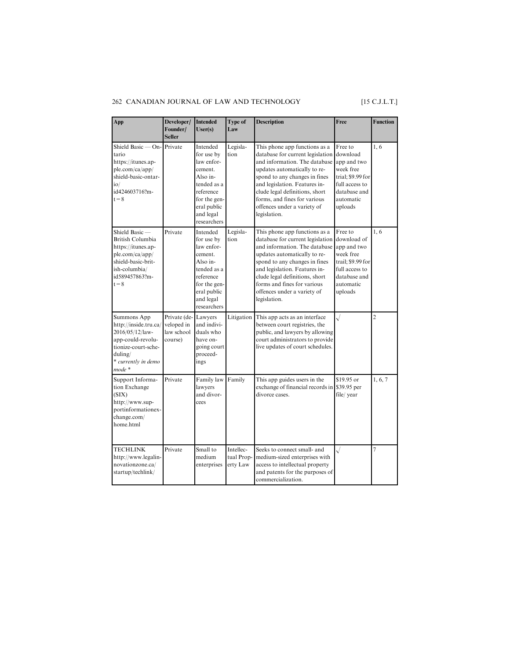#### 262 CANADIAN JOURNAL OF LAW AND TECHNOLOGY [15 C.J.L.T.]

| App                                                                                                                                             | Developer/<br>Founder/<br><b>Seller</b>             | <b>Intended</b><br>User(s)                                                                                                                         | Type of<br>Law                      | <b>Description</b>                                                                                                                                                                                                                                                                                                    | Free                                                                                                                              | <b>Function</b> |
|-------------------------------------------------------------------------------------------------------------------------------------------------|-----------------------------------------------------|----------------------------------------------------------------------------------------------------------------------------------------------------|-------------------------------------|-----------------------------------------------------------------------------------------------------------------------------------------------------------------------------------------------------------------------------------------------------------------------------------------------------------------------|-----------------------------------------------------------------------------------------------------------------------------------|-----------------|
| Shield Basic $-$ On-<br>tario<br>https://itunes.ap-<br>ple.com/ca/app/<br>shield-basic-ontar-<br>io/<br>id424603716?m-<br>$t = 8$               | Private                                             | Intended<br>for use by<br>law enfor-<br>cement.<br>Also in-<br>tended as a<br>reference<br>for the gen-<br>eral public<br>and legal<br>researchers | Legisla-<br>tion                    | This phone app functions as a<br>database for current legislation<br>and information. The database<br>updates automatically to re-<br>spond to any changes in fines<br>and legislation. Features in-<br>clude legal definitions, short<br>forms, and fines for various<br>offences under a variety of<br>legislation. | Free to<br>download<br>app and two<br>week free<br>trial; \$9.99 for<br>full access to<br>database and<br>automatic<br>uploads    | 1,6             |
| Shield Basic-<br>British Columbia<br>https://itunes.ap-<br>ple.com/ca/app/<br>shield-basic-brit-<br>ish-columbia/<br>id589457863?m-<br>$t = 8$  | Private                                             | Intended<br>for use by<br>law enfor-<br>cement.<br>Also in-<br>tended as a<br>reference<br>for the gen-<br>eral public<br>and legal<br>researchers | Legisla-<br>tion                    | This phone app functions as a<br>database for current legislation<br>and information. The database<br>updates automatically to re-<br>spond to any changes in fines<br>and legislation. Features in-<br>clude legal definitions, short<br>forms and fines for various<br>offences under a variety of<br>legislation.  | Free to<br>download of<br>app and two<br>week free<br>trail; \$9.99 for<br>full access to<br>database and<br>automatic<br>uploads | 1,6             |
| Summons App<br>http://inside.tru.ca/<br>2016/05/12/law-<br>app-could-revolu-<br>tionize-court-sche-<br>duling/<br>* currently in demo<br>mode * | Private (de-<br>veloped in<br>law school<br>course) | Lawyers<br>and indivi-<br>duals who<br>have on-<br>going court<br>proceed-<br>ings                                                                 | Litigation                          | This app acts as an interface<br>between court registries, the<br>public, and lawyers by allowing<br>court administrators to provide<br>live updates of court schedules.                                                                                                                                              | $\sqrt{2}$                                                                                                                        | $\overline{c}$  |
| Support Informa-<br>tion Exchange<br>(SIX)<br>http://www.sup-<br>portinformationex-<br>change.com/<br>home.html                                 | Private                                             | Family law<br>lawyers<br>and divor-<br>cees                                                                                                        | Family                              | This app guides users in the<br>exchange of financial records in \$39.95 per<br>divorce cases.                                                                                                                                                                                                                        | \$19.95 or<br>file/ year                                                                                                          | 1, 6, 7         |
| <b>TECHLINK</b><br>http://www.legalin-<br>novationzone.ca/<br>startup/techlink/                                                                 | Private                                             | Small to<br>medium<br>enterprises                                                                                                                  | Intellec-<br>tual Prop-<br>erty Law | Seeks to connect small- and<br>medium-sized enterprises with<br>access to intellectual property<br>and patents for the purposes of<br>commercialization.                                                                                                                                                              | $\sqrt{2}$                                                                                                                        | $\overline{7}$  |